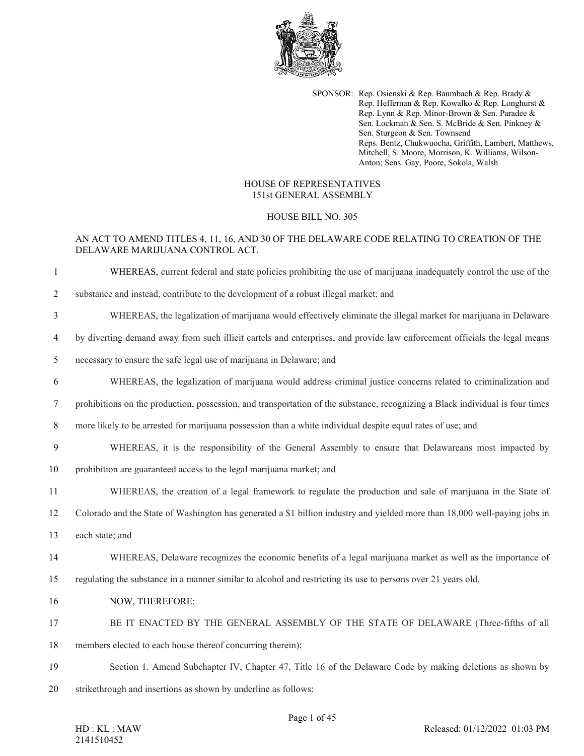

SPONSOR: Rep. Osienski & Rep. Baumbach & Rep. Brady & Rep. Heffernan & Rep. Kowalko & Rep. Longhurst & Rep. Lynn & Rep. Minor-Brown & Sen. Paradee & Sen. Lockman & Sen. S. McBride & Sen. Pinkney & Sen. Sturgeon & Sen. Townsend Reps. Bentz, Chukwuocha, Griffith, Lambert, Matthews, Mitchell, S. Moore, Morrison, K. Williams, Wilson-Anton; Sens. Gay, Poore, Sokola, Walsh

### HOUSE OF REPRESENTATIVES 151st GENERAL ASSEMBLY

### HOUSE BILL NO. 305

# AN ACT TO AMEND TITLES 4, 11, 16, AND 30 OF THE DELAWARE CODE RELATING TO CREATION OF THE DELAWARE MARIJUANA CONTROL ACT.

1 WHEREAS, current federal and state policies prohibiting the use of marijuana inadequately control the use of the

- 2 substance and instead, contribute to the development of a robust illegal market; and
- 3 WHEREAS, the legalization of marijuana would effectively eliminate the illegal market for marijuana in Delaware
- 4 by diverting demand away from such illicit cartels and enterprises, and provide law enforcement officials the legal means
- 5 necessary to ensure the safe legal use of marijuana in Delaware; and
- 6 WHEREAS, the legalization of marijuana would address criminal justice concerns related to criminalization and
- 7 prohibitions on the production, possession, and transportation of the substance, recognizing a Black individual is four times
- 8 more likely to be arrested for marijuana possession than a white individual despite equal rates of use; and
- 9 WHEREAS, it is the responsibility of the General Assembly to ensure that Delawareans most impacted by
- 10 prohibition are guaranteed access to the legal marijuana market; and
- 11 WHEREAS, the creation of a legal framework to regulate the production and sale of marijuana in the State of
- 12 Colorado and the State of Washington has generated a \$1 billion industry and yielded more than 18,000 well-paying jobs in
- 13 each state; and
- 14 WHEREAS, Delaware recognizes the economic benefits of a legal marijuana market as well as the importance of
- 15 regulating the substance in a manner similar to alcohol and restricting its use to persons over 21 years old.
- 16 NOW, THEREFORE:
- 17 BE IT ENACTED BY THE GENERAL ASSEMBLY OF THE STATE OF DELAWARE (Three-fifths of all
- 18 members elected to each house thereof concurring therein):
- 19 Section 1. Amend Subchapter IV, Chapter 47, Title 16 of the Delaware Code by making deletions as shown by
- 20 strikethrough and insertions as shown by underline as follows: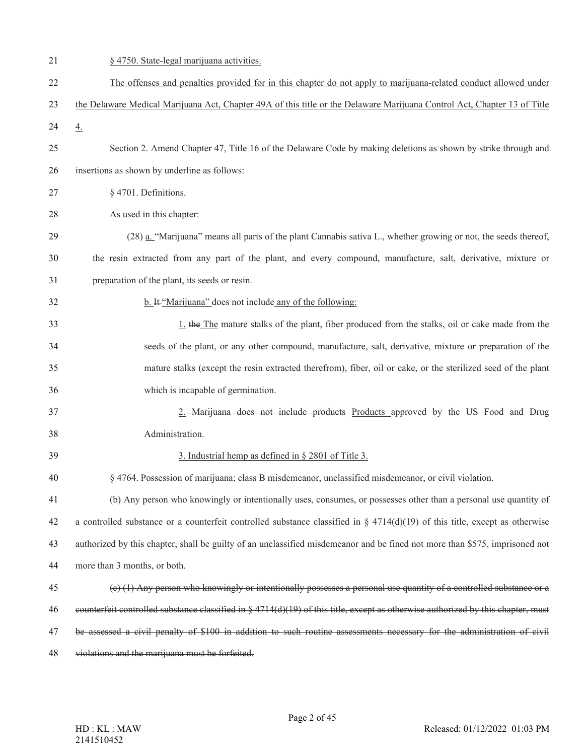| 21 | § 4750. State-legal marijuana activities.                                                                                           |
|----|-------------------------------------------------------------------------------------------------------------------------------------|
| 22 | The offenses and penalties provided for in this chapter do not apply to marijuana-related conduct allowed under                     |
| 23 | the Delaware Medical Marijuana Act, Chapter 49A of this title or the Delaware Marijuana Control Act, Chapter 13 of Title            |
| 24 | $\overline{4}$ .                                                                                                                    |
| 25 | Section 2. Amend Chapter 47, Title 16 of the Delaware Code by making deletions as shown by strike through and                       |
| 26 | insertions as shown by underline as follows:                                                                                        |
| 27 | § 4701. Definitions.                                                                                                                |
| 28 | As used in this chapter:                                                                                                            |
| 29 | (28) a. "Marijuana" means all parts of the plant Cannabis sativa L., whether growing or not, the seeds thereof,                     |
| 30 | the resin extracted from any part of the plant, and every compound, manufacture, salt, derivative, mixture or                       |
| 31 | preparation of the plant, its seeds or resin.                                                                                       |
| 32 | b. It "Marijuana" does not include any of the following:                                                                            |
| 33 | 1. the The mature stalks of the plant, fiber produced from the stalks, oil or cake made from the                                    |
| 34 | seeds of the plant, or any other compound, manufacture, salt, derivative, mixture or preparation of the                             |
| 35 | mature stalks (except the resin extracted therefrom), fiber, oil or cake, or the sterilized seed of the plant                       |
| 36 | which is incapable of germination.                                                                                                  |
| 37 | 2. Marijuana does not include products Products approved by the US Food and Drug                                                    |
| 38 | Administration.                                                                                                                     |
| 39 | 3. Industrial hemp as defined in § 2801 of Title 3.                                                                                 |
| 40 | § 4764. Possession of marijuana; class B misdemeanor, unclassified misdemeanor, or civil violation.                                 |
| 41 | (b) Any person who knowingly or intentionally uses, consumes, or possesses other than a personal use quantity of                    |
| 42 | a controlled substance or a counterfeit controlled substance classified in § 4714(d)(19) of this title, except as otherwise         |
| 43 | authorized by this chapter, shall be guilty of an unclassified misdemeanor and be fined not more than \$575, imprisoned not         |
| 44 | more than 3 months, or both.                                                                                                        |
| 45 | (e) (1) Any person who knowingly or intentionally possesses a personal use quantity of a controlled substance or a                  |
| 46 | counterfeit controlled substance classified in $\S 4714(d)(19)$ of this title, except as otherwise authorized by this chapter, must |
| 47 | be assessed a civil penalty of \$100 in addition to such routine assessments necessary for the administration of civil              |
| 48 | violations and the marijuana must be forfeited.                                                                                     |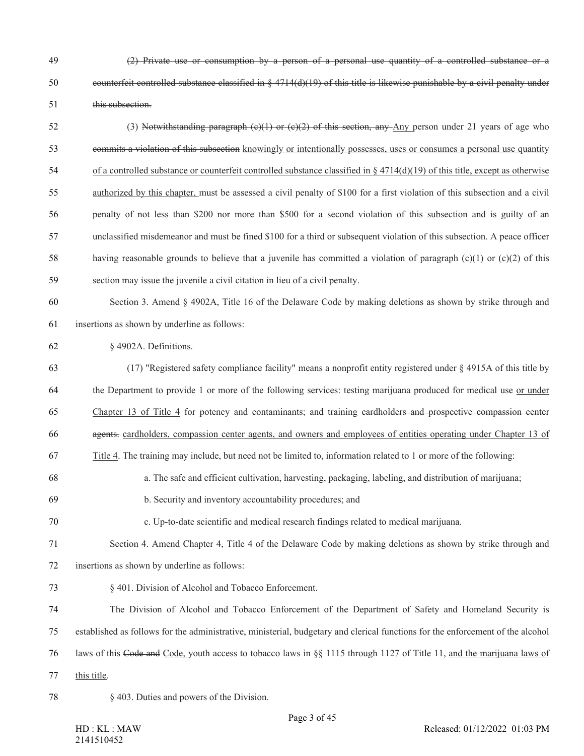- (2) Private use or consumption by a person of a personal use quantity of a controlled substance or a counterfeit controlled substance classified in § 4714(d)(19) of this title is likewise punishable by a civil penalty under this subsection.
- 52 (3) Notwithstanding paragraph  $(c)(1)$  or  $(c)(2)$  of this section, any Any person under 21 years of age who commits a violation of this subsection knowingly or intentionally possesses, uses or consumes a personal use quantity 54 of a controlled substance or counterfeit controlled substance classified in  $\S$  4714(d)(19) of this title, except as otherwise authorized by this chapter, must be assessed a civil penalty of \$100 for a first violation of this subsection and a civil penalty of not less than \$200 nor more than \$500 for a second violation of this subsection and is guilty of an unclassified misdemeanor and must be fined \$100 for a third or subsequent violation of this subsection. A peace officer 58 having reasonable grounds to believe that a juvenile has committed a violation of paragraph (c)(1) or (c)(2) of this section may issue the juvenile a civil citation in lieu of a civil penalty.
- Section 3. Amend § 4902A, Title 16 of the Delaware Code by making deletions as shown by strike through and insertions as shown by underline as follows:

## § 4902A. Definitions.

- (17) "Registered safety compliance facility" means a nonprofit entity registered under § 4915A of this title by the Department to provide 1 or more of the following services: testing marijuana produced for medical use or under Chapter 13 of Title 4 for potency and contaminants; and training cardholders and prospective compassion center
- 66 agents. cardholders, compassion center agents, and owners and employees of entities operating under Chapter 13 of
- Title 4. The training may include, but need not be limited to, information related to 1 or more of the following:
- a. The safe and efficient cultivation, harvesting, packaging, labeling, and distribution of marijuana;
- b. Security and inventory accountability procedures; and
- c. Up-to-date scientific and medical research findings related to medical marijuana.
- Section 4. Amend Chapter 4, Title 4 of the Delaware Code by making deletions as shown by strike through and insertions as shown by underline as follows:
- § 401. Division of Alcohol and Tobacco Enforcement.
- The Division of Alcohol and Tobacco Enforcement of the Department of Safety and Homeland Security is
- established as follows for the administrative, ministerial, budgetary and clerical functions for the enforcement of the alcohol
- laws of this Code and Code, youth access to tobacco laws in §§ 1115 through 1127 of Title 11, and the marijuana laws of
- this title.
-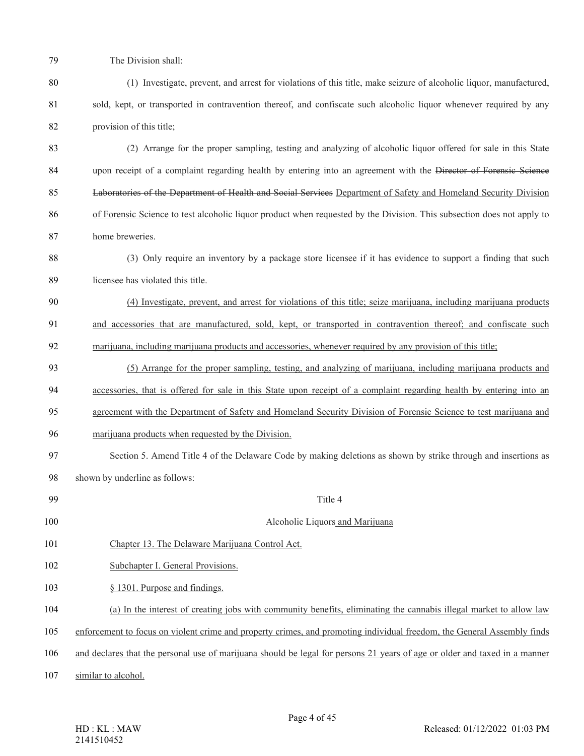The Division shall:

- (1) Investigate, prevent, and arrest for violations of this title, make seizure of alcoholic liquor, manufactured, 81 sold, kept, or transported in contravention thereof, and confiscate such alcoholic liquor whenever required by any provision of this title;
- (2) Arrange for the proper sampling, testing and analyzing of alcoholic liquor offered for sale in this State 84 upon receipt of a complaint regarding health by entering into an agreement with the Director of Forensic Science Laboratories of the Department of Health and Social Services Department of Safety and Homeland Security Division of Forensic Science to test alcoholic liquor product when requested by the Division. This subsection does not apply to home breweries.
- (3) Only require an inventory by a package store licensee if it has evidence to support a finding that such licensee has violated this title.
- (4) Investigate, prevent, and arrest for violations of this title; seize marijuana, including marijuana products and accessories that are manufactured, sold, kept, or transported in contravention thereof; and confiscate such 92 marijuana, including marijuana products and accessories, whenever required by any provision of this title;
- (5) Arrange for the proper sampling, testing, and analyzing of marijuana, including marijuana products and accessories, that is offered for sale in this State upon receipt of a complaint regarding health by entering into an
- 
- agreement with the Department of Safety and Homeland Security Division of Forensic Science to test marijuana and
- marijuana products when requested by the Division.
- Section 5. Amend Title 4 of the Delaware Code by making deletions as shown by strike through and insertions as shown by underline as follows:
- Title 4 Alcoholic Liquors and Marijuana Chapter 13. The Delaware Marijuana Control Act. Subchapter I. General Provisions. § 1301. Purpose and findings. (a) In the interest of creating jobs with community benefits, eliminating the cannabis illegal market to allow law enforcement to focus on violent crime and property crimes, and promoting individual freedom, the General Assembly finds and declares that the personal use of marijuana should be legal for persons 21 years of age or older and taxed in a manner
- similar to alcohol.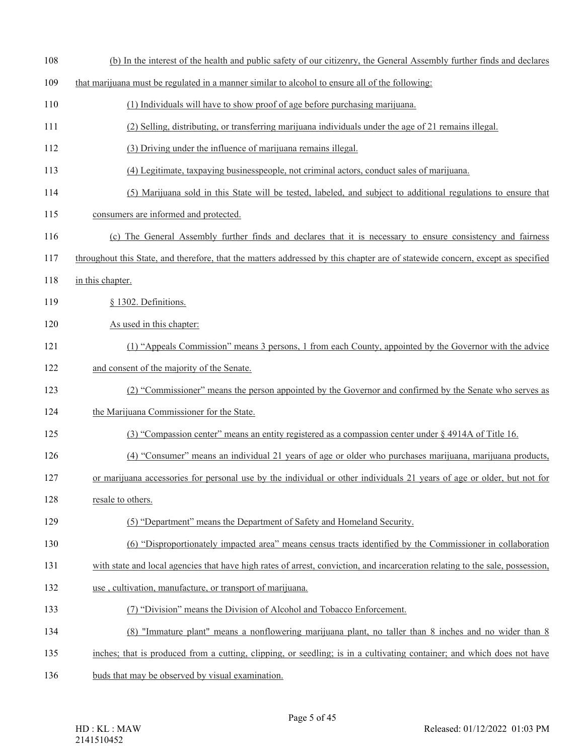| 108 | (b) In the interest of the health and public safety of our citizenry, the General Assembly further finds and declares          |
|-----|--------------------------------------------------------------------------------------------------------------------------------|
| 109 | that marijuana must be regulated in a manner similar to alcohol to ensure all of the following:                                |
| 110 | (1) Individuals will have to show proof of age before purchasing marijuana.                                                    |
| 111 | (2) Selling, distributing, or transferring marijuana individuals under the age of 21 remains illegal.                          |
| 112 | (3) Driving under the influence of marijuana remains illegal.                                                                  |
| 113 | (4) Legitimate, taxpaying businesspeople, not criminal actors, conduct sales of marijuana.                                     |
| 114 | (5) Marijuana sold in this State will be tested, labeled, and subject to additional regulations to ensure that                 |
| 115 | consumers are informed and protected.                                                                                          |
| 116 | (c) The General Assembly further finds and declares that it is necessary to ensure consistency and fairness                    |
| 117 | throughout this State, and therefore, that the matters addressed by this chapter are of statewide concern, except as specified |
| 118 | in this chapter.                                                                                                               |
| 119 | § 1302. Definitions.                                                                                                           |
| 120 | As used in this chapter:                                                                                                       |
| 121 | (1) "Appeals Commission" means 3 persons, 1 from each County, appointed by the Governor with the advice                        |
| 122 | and consent of the majority of the Senate.                                                                                     |
| 123 | (2) "Commissioner" means the person appointed by the Governor and confirmed by the Senate who serves as                        |
| 124 | the Marijuana Commissioner for the State.                                                                                      |
| 125 | (3) "Compassion center" means an entity registered as a compassion center under § 4914A of Title 16.                           |
| 126 | (4) "Consumer" means an individual 21 years of age or older who purchases marijuana, marijuana products,                       |
| 127 | or marijuana accessories for personal use by the individual or other individuals 21 years of age or older, but not for         |
| 128 | resale to others.                                                                                                              |
| 129 | (5) "Department" means the Department of Safety and Homeland Security.                                                         |
| 130 | (6) "Disproportionately impacted area" means census tracts identified by the Commissioner in collaboration                     |
| 131 | with state and local agencies that have high rates of arrest, conviction, and incarceration relating to the sale, possession,  |
| 132 | use, cultivation, manufacture, or transport of marijuana.                                                                      |
| 133 | (7) "Division" means the Division of Alcohol and Tobacco Enforcement.                                                          |
| 134 | (8) "Immature plant" means a nonflowering marijuana plant, no taller than 8 inches and no wider than 8                         |
| 135 | inches; that is produced from a cutting, clipping, or seedling; is in a cultivating container; and which does not have         |
| 136 | buds that may be observed by visual examination.                                                                               |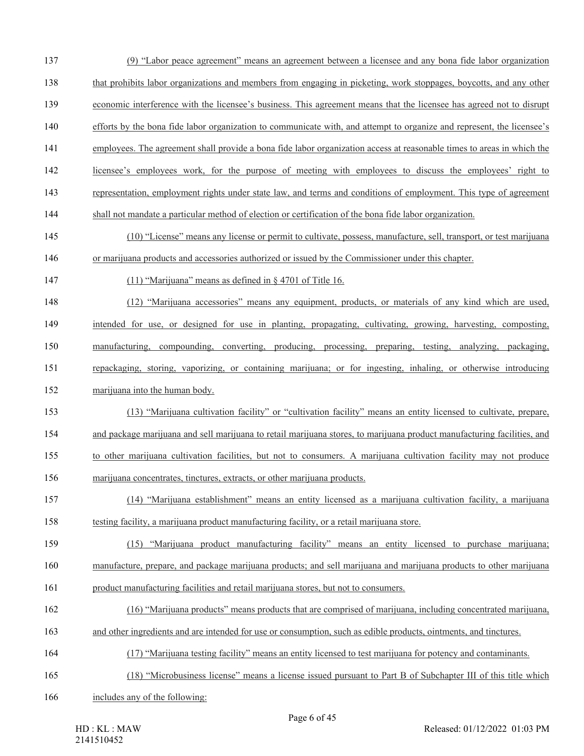- (9) "Labor peace agreement" means an agreement between a licensee and any bona fide labor organization that prohibits labor organizations and members from engaging in picketing, work stoppages, boycotts, and any other economic interference with the licensee's business. This agreement means that the licensee has agreed not to disrupt efforts by the bona fide labor organization to communicate with, and attempt to organize and represent, the licensee's employees. The agreement shall provide a bona fide labor organization access at reasonable times to areas in which the licensee's employees work, for the purpose of meeting with employees to discuss the employees' right to
- 
- representation, employment rights under state law, and terms and conditions of employment. This type of agreement
- shall not mandate a particular method of election or certification of the bona fide labor organization.
- (10) "License" means any license or permit to cultivate, possess, manufacture, sell, transport, or test marijuana or marijuana products and accessories authorized or issued by the Commissioner under this chapter.
- (11) "Marijuana" means as defined in § 4701 of Title 16.
- (12) "Marijuana accessories" means any equipment, products, or materials of any kind which are used, intended for use, or designed for use in planting, propagating, cultivating, growing, harvesting, composting, manufacturing, compounding, converting, producing, processing, preparing, testing, analyzing, packaging,
- repackaging, storing, vaporizing, or containing marijuana; or for ingesting, inhaling, or otherwise introducing marijuana into the human body.
- (13) "Marijuana cultivation facility" or "cultivation facility" means an entity licensed to cultivate, prepare, and package marijuana and sell marijuana to retail marijuana stores, to marijuana product manufacturing facilities, and to other marijuana cultivation facilities, but not to consumers. A marijuana cultivation facility may not produce marijuana concentrates, tinctures, extracts, or other marijuana products.
- (14) "Marijuana establishment" means an entity licensed as a marijuana cultivation facility, a marijuana testing facility, a marijuana product manufacturing facility, or a retail marijuana store.
- (15) "Marijuana product manufacturing facility" means an entity licensed to purchase marijuana; manufacture, prepare, and package marijuana products; and sell marijuana and marijuana products to other marijuana
- product manufacturing facilities and retail marijuana stores, but not to consumers.
- (16) "Marijuana products" means products that are comprised of marijuana, including concentrated marijuana,
- and other ingredients and are intended for use or consumption, such as edible products, ointments, and tinctures.
- (17) "Marijuana testing facility" means an entity licensed to test marijuana for potency and contaminants.
- (18) "Microbusiness license" means a license issued pursuant to Part B of Subchapter III of this title which
- includes any of the following: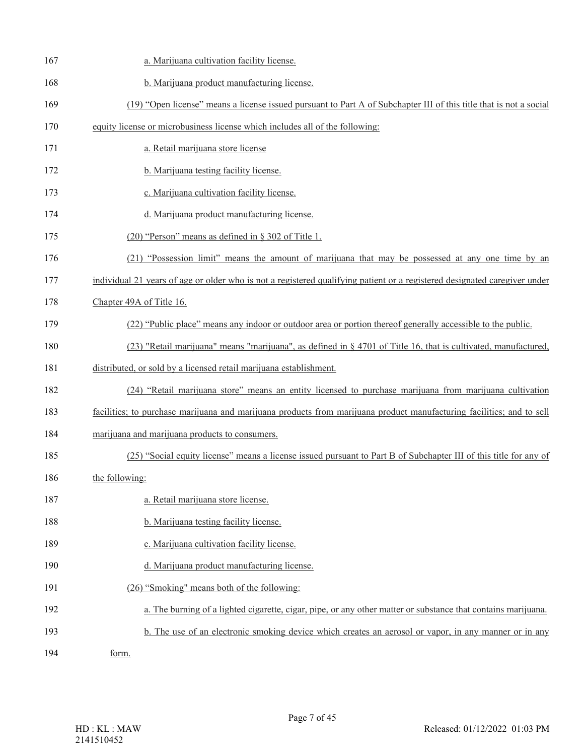| 167 | a. Marijuana cultivation facility license.                                                                                |
|-----|---------------------------------------------------------------------------------------------------------------------------|
| 168 | b. Marijuana product manufacturing license.                                                                               |
| 169 | (19) "Open license" means a license issued pursuant to Part A of Subchapter III of this title that is not a social        |
| 170 | equity license or microbusiness license which includes all of the following:                                              |
| 171 | a. Retail marijuana store license                                                                                         |
| 172 | b. Marijuana testing facility license.                                                                                    |
| 173 | c. Marijuana cultivation facility license.                                                                                |
| 174 | d. Marijuana product manufacturing license.                                                                               |
| 175 | $(20)$ "Person" means as defined in § 302 of Title 1.                                                                     |
| 176 | (21) "Possession limit" means the amount of marijuana that may be possessed at any one time by an                         |
| 177 | individual 21 years of age or older who is not a registered qualifying patient or a registered designated caregiver under |
| 178 | Chapter 49A of Title 16.                                                                                                  |
| 179 | (22) "Public place" means any indoor or outdoor area or portion thereof generally accessible to the public.               |
| 180 | (23) "Retail marijuana" means "marijuana", as defined in § 4701 of Title 16, that is cultivated, manufactured,            |
| 181 | distributed, or sold by a licensed retail marijuana establishment.                                                        |
| 182 | (24) "Retail marijuana store" means an entity licensed to purchase marijuana from marijuana cultivation                   |
| 183 | facilities; to purchase marijuana and marijuana products from marijuana product manufacturing facilities; and to sell     |
| 184 | marijuana and marijuana products to consumers.                                                                            |
| 185 | (25) "Social equity license" means a license issued pursuant to Part B of Subchapter III of this title for any of         |
| 186 | the following:                                                                                                            |
| 187 | a. Retail marijuana store license.                                                                                        |
| 188 | b. Marijuana testing facility license.                                                                                    |
| 189 | c. Marijuana cultivation facility license.                                                                                |
| 190 | d. Marijuana product manufacturing license.                                                                               |
| 191 | (26) "Smoking" means both of the following:                                                                               |
| 192 | a. The burning of a lighted cigarette, cigar, pipe, or any other matter or substance that contains marijuana.             |
| 193 | b. The use of an electronic smoking device which creates an aerosol or vapor, in any manner or in any                     |
| 194 | form.                                                                                                                     |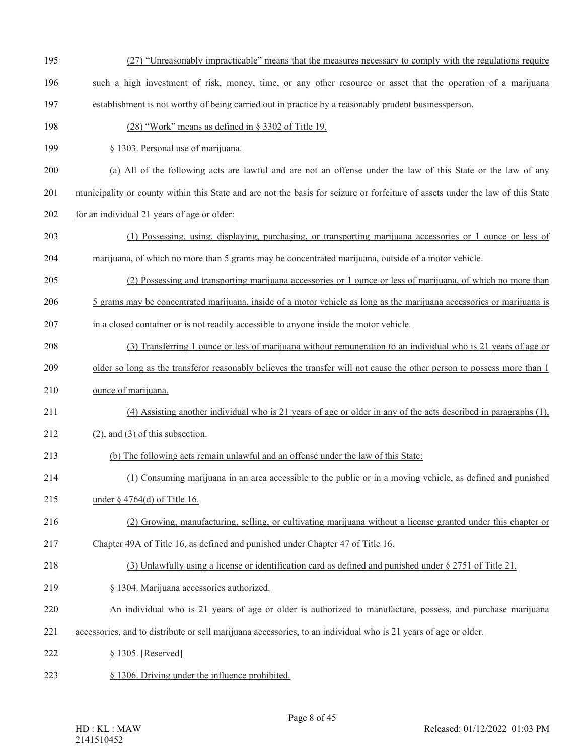- (27) "Unreasonably impracticable" means that the measures necessary to comply with the regulations require
- such a high investment of risk, money, time, or any other resource or asset that the operation of a marijuana
- establishment is not worthy of being carried out in practice by a reasonably prudent businessperson.
- (28) "Work" means as defined in § 3302 of Title 19.
- § 1303. Personal use of marijuana.
- (a) All of the following acts are lawful and are not an offense under the law of this State or the law of any
- municipality or county within this State and are not the basis for seizure or forfeiture of assets under the law of this State
- 202 for an individual 21 years of age or older:
- (1) Possessing, using, displaying, purchasing, or transporting marijuana accessories or 1 ounce or less of marijuana, of which no more than 5 grams may be concentrated marijuana, outside of a motor vehicle.
- (2) Possessing and transporting marijuana accessories or 1 ounce or less of marijuana, of which no more than
- 5 grams may be concentrated marijuana, inside of a motor vehicle as long as the marijuana accessories or marijuana is
- in a closed container or is not readily accessible to anyone inside the motor vehicle.
- (3) Transferring 1 ounce or less of marijuana without remuneration to an individual who is 21 years of age or
- older so long as the transferor reasonably believes the transfer will not cause the other person to possess more than 1
- ounce of marijuana.
- (4) Assisting another individual who is 21 years of age or older in any of the acts described in paragraphs (1),
- 212 (2), and (3) of this subsection.
- (b) The following acts remain unlawful and an offense under the law of this State:
- (1) Consuming marijuana in an area accessible to the public or in a moving vehicle, as defined and punished
- under § 4764(d) of Title 16.
- (2) Growing, manufacturing, selling, or cultivating marijuana without a license granted under this chapter or
- Chapter 49A of Title 16, as defined and punished under Chapter 47 of Title 16.
- (3) Unlawfully using a license or identification card as defined and punished under § 2751 of Title 21.
- § 1304. Marijuana accessories authorized.
- An individual who is 21 years of age or older is authorized to manufacture, possess, and purchase marijuana
- accessories, and to distribute or sell marijuana accessories, to an individual who is 21 years of age or older.
- § 1305. [Reserved]
- § 1306. Driving under the influence prohibited.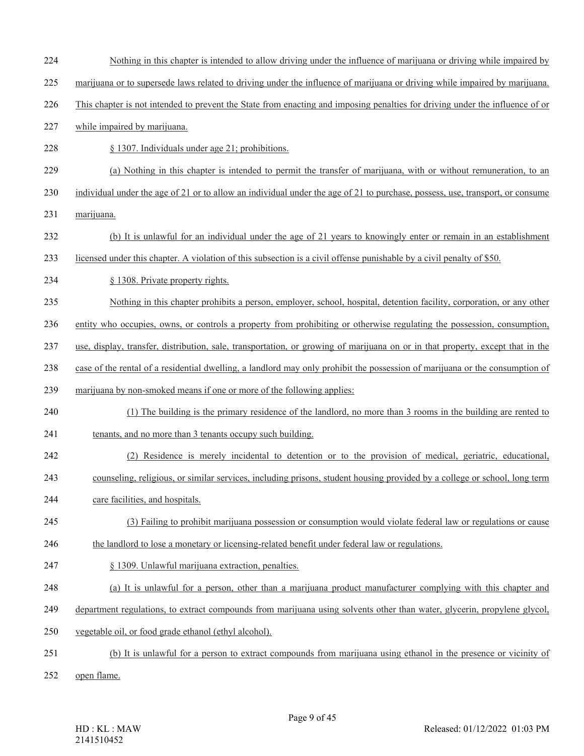- Nothing in this chapter is intended to allow driving under the influence of marijuana or driving while impaired by
- marijuana or to supersede laws related to driving under the influence of marijuana or driving while impaired by marijuana.
- This chapter is not intended to prevent the State from enacting and imposing penalties for driving under the influence of or
- while impaired by marijuana.
- § 1307. Individuals under age 21; prohibitions.
- (a) Nothing in this chapter is intended to permit the transfer of marijuana, with or without remuneration, to an
- individual under the age of 21 or to allow an individual under the age of 21 to purchase, possess, use, transport, or consume
- marijuana.
- (b) It is unlawful for an individual under the age of 21 years to knowingly enter or remain in an establishment
- licensed under this chapter. A violation of this subsection is a civil offense punishable by a civil penalty of \$50.
- 234 § 1308. Private property rights.
- Nothing in this chapter prohibits a person, employer, school, hospital, detention facility, corporation, or any other
- entity who occupies, owns, or controls a property from prohibiting or otherwise regulating the possession, consumption,
- use, display, transfer, distribution, sale, transportation, or growing of marijuana on or in that property, except that in the
- case of the rental of a residential dwelling, a landlord may only prohibit the possession of marijuana or the consumption of
- marijuana by non-smoked means if one or more of the following applies:
- (1) The building is the primary residence of the landlord, no more than 3 rooms in the building are rented to
- tenants, and no more than 3 tenants occupy such building.
- (2) Residence is merely incidental to detention or to the provision of medical, geriatric, educational,
- counseling, religious, or similar services, including prisons, student housing provided by a college or school, long term
- care facilities, and hospitals.
- (3) Failing to prohibit marijuana possession or consumption would violate federal law or regulations or cause
- the landlord to lose a monetary or licensing-related benefit under federal law or regulations.
- § 1309. Unlawful marijuana extraction, penalties.
- (a) It is unlawful for a person, other than a marijuana product manufacturer complying with this chapter and
- department regulations, to extract compounds from marijuana using solvents other than water, glycerin, propylene glycol,
- vegetable oil, or food grade ethanol (ethyl alcohol).
- (b) It is unlawful for a person to extract compounds from marijuana using ethanol in the presence or vicinity of
- open flame.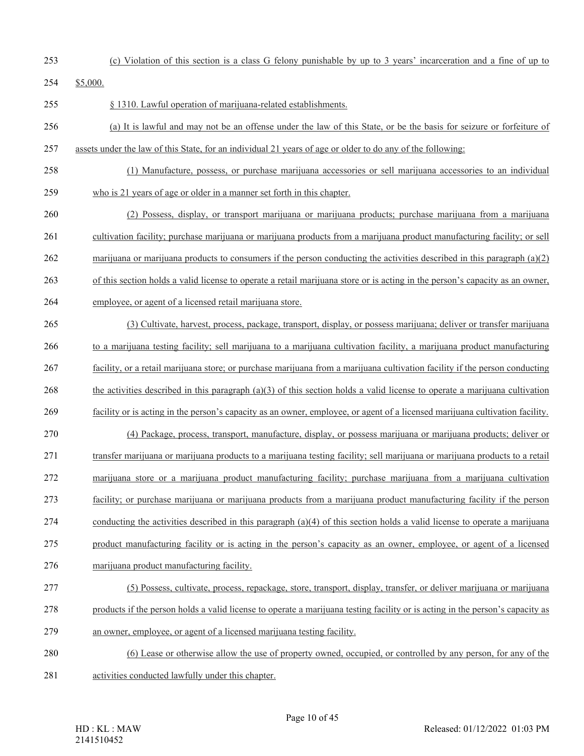- 
- (c) Violation of this section is a class G felony punishable by up to 3 years' incarceration and a fine of up to

\$5,000.

- § 1310. Lawful operation of marijuana-related establishments.
- (a) It is lawful and may not be an offense under the law of this State, or be the basis for seizure or forfeiture of assets under the law of this State, for an individual 21 years of age or older to do any of the following:
- (1) Manufacture, possess, or purchase marijuana accessories or sell marijuana accessories to an individual
- who is 21 years of age or older in a manner set forth in this chapter.
- (2) Possess, display, or transport marijuana or marijuana products; purchase marijuana from a marijuana cultivation facility; purchase marijuana or marijuana products from a marijuana product manufacturing facility; or sell marijuana or marijuana products to consumers if the person conducting the activities described in this paragraph (a)(2) of this section holds a valid license to operate a retail marijuana store or is acting in the person's capacity as an owner,
- employee, or agent of a licensed retail marijuana store.
- (3) Cultivate, harvest, process, package, transport, display, or possess marijuana; deliver or transfer marijuana to a marijuana testing facility; sell marijuana to a marijuana cultivation facility, a marijuana product manufacturing facility, or a retail marijuana store; or purchase marijuana from a marijuana cultivation facility if the person conducting 268 the activities described in this paragraph (a)(3) of this section holds a valid license to operate a marijuana cultivation facility or is acting in the person's capacity as an owner, employee, or agent of a licensed marijuana cultivation facility. (4) Package, process, transport, manufacture, display, or possess marijuana or marijuana products; deliver or transfer marijuana or marijuana products to a marijuana testing facility; sell marijuana or marijuana products to a retail marijuana store or a marijuana product manufacturing facility; purchase marijuana from a marijuana cultivation facility; or purchase marijuana or marijuana products from a marijuana product manufacturing facility if the person 274 conducting the activities described in this paragraph  $(a)(4)$  of this section holds a valid license to operate a marijuana product manufacturing facility or is acting in the person's capacity as an owner, employee, or agent of a licensed marijuana product manufacturing facility. (5) Possess, cultivate, process, repackage, store, transport, display, transfer, or deliver marijuana or marijuana products if the person holds a valid license to operate a marijuana testing facility or is acting in the person's capacity as an owner, employee, or agent of a licensed marijuana testing facility. (6) Lease or otherwise allow the use of property owned, occupied, or controlled by any person, for any of the
- activities conducted lawfully under this chapter.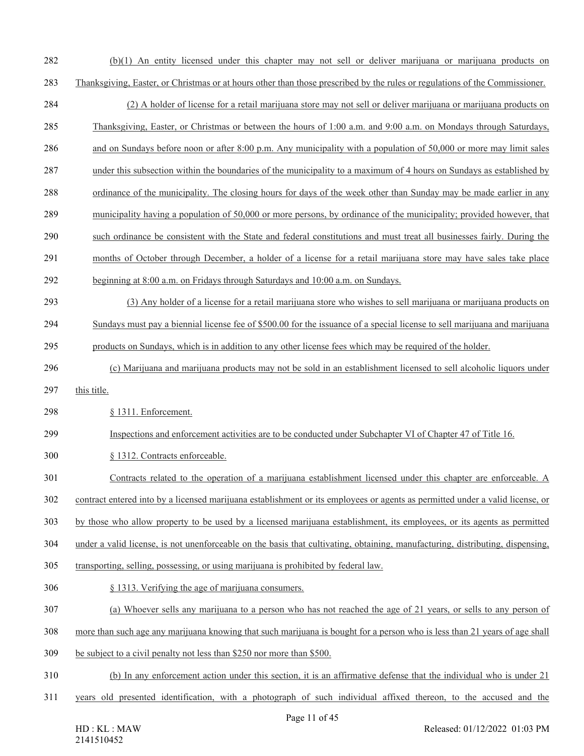- (b)(1) An entity licensed under this chapter may not sell or deliver marijuana or marijuana products on
- Thanksgiving, Easter, or Christmas or at hours other than those prescribed by the rules or regulations of the Commissioner.
- (2) A holder of license for a retail marijuana store may not sell or deliver marijuana or marijuana products on
- Thanksgiving, Easter, or Christmas or between the hours of 1:00 a.m. and 9:00 a.m. on Mondays through Saturdays,
- and on Sundays before noon or after 8:00 p.m. Any municipality with a population of 50,000 or more may limit sales
- under this subsection within the boundaries of the municipality to a maximum of 4 hours on Sundays as established by
- ordinance of the municipality. The closing hours for days of the week other than Sunday may be made earlier in any
- municipality having a population of 50,000 or more persons, by ordinance of the municipality; provided however, that
- such ordinance be consistent with the State and federal constitutions and must treat all businesses fairly. During the
- months of October through December, a holder of a license for a retail marijuana store may have sales take place
- beginning at 8:00 a.m. on Fridays through Saturdays and 10:00 a.m. on Sundays.
- (3) Any holder of a license for a retail marijuana store who wishes to sell marijuana or marijuana products on
- Sundays must pay a biennial license fee of \$500.00 for the issuance of a special license to sell marijuana and marijuana
- products on Sundays, which is in addition to any other license fees which may be required of the holder.
- (c) Marijuana and marijuana products may not be sold in an establishment licensed to sell alcoholic liquors under
- 297 this title.
- § 1311. Enforcement.
- Inspections and enforcement activities are to be conducted under Subchapter VI of Chapter 47 of Title 16.
- § 1312. Contracts enforceable.
- Contracts related to the operation of a marijuana establishment licensed under this chapter are enforceable. A
- contract entered into by a licensed marijuana establishment or its employees or agents as permitted under a valid license, or
- by those who allow property to be used by a licensed marijuana establishment, its employees, or its agents as permitted
- under a valid license, is not unenforceable on the basis that cultivating, obtaining, manufacturing, distributing, dispensing,
- transporting, selling, possessing, or using marijuana is prohibited by federal law.
- § 1313. Verifying the age of marijuana consumers.
- (a) Whoever sells any marijuana to a person who has not reached the age of 21 years, or sells to any person of
- more than such age any marijuana knowing that such marijuana is bought for a person who is less than 21 years of age shall
- be subject to a civil penalty not less than \$250 nor more than \$500.
- (b) In any enforcement action under this section, it is an affirmative defense that the individual who is under 21
- years old presented identification, with a photograph of such individual affixed thereon, to the accused and the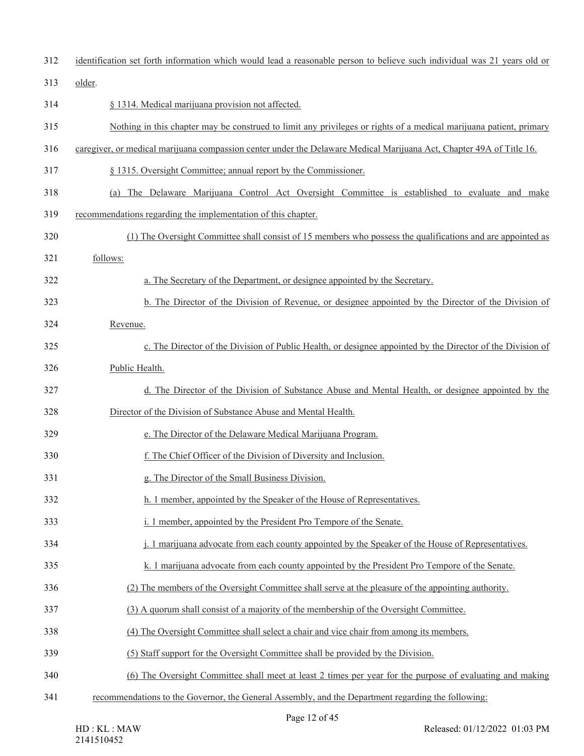| 312 | identification set forth information which would lead a reasonable person to believe such individual was 21 years old or |
|-----|--------------------------------------------------------------------------------------------------------------------------|
| 313 | older.                                                                                                                   |
| 314 | § 1314. Medical marijuana provision not affected.                                                                        |
| 315 | Nothing in this chapter may be construed to limit any privileges or rights of a medical marijuana patient, primary       |
| 316 | caregiver, or medical marijuana compassion center under the Delaware Medical Marijuana Act, Chapter 49A of Title 16.     |
| 317 | § 1315. Oversight Committee; annual report by the Commissioner.                                                          |
| 318 | (a) The Delaware Marijuana Control Act Oversight Committee is established to evaluate and make                           |
| 319 | recommendations regarding the implementation of this chapter.                                                            |
| 320 | (1) The Oversight Committee shall consist of 15 members who possess the qualifications and are appointed as              |
| 321 | follows:                                                                                                                 |
| 322 | a. The Secretary of the Department, or designee appointed by the Secretary.                                              |
| 323 | b. The Director of the Division of Revenue, or designee appointed by the Director of the Division of                     |
| 324 | Revenue.                                                                                                                 |
| 325 | c. The Director of the Division of Public Health, or designee appointed by the Director of the Division of               |
| 326 | Public Health.                                                                                                           |
| 327 | d. The Director of the Division of Substance Abuse and Mental Health, or designee appointed by the                       |
| 328 | Director of the Division of Substance Abuse and Mental Health.                                                           |
| 329 | e. The Director of the Delaware Medical Marijuana Program.                                                               |
| 330 | f. The Chief Officer of the Division of Diversity and Inclusion.                                                         |
| 331 | g. The Director of the Small Business Division.                                                                          |
| 332 | h. 1 member, appointed by the Speaker of the House of Representatives.                                                   |
| 333 | i. 1 member, appointed by the President Pro Tempore of the Senate.                                                       |
| 334 | j. 1 marijuana advocate from each county appointed by the Speaker of the House of Representatives.                       |
| 335 | k. 1 marijuana advocate from each county appointed by the President Pro Tempore of the Senate.                           |
| 336 | (2) The members of the Oversight Committee shall serve at the pleasure of the appointing authority.                      |
| 337 | (3) A quorum shall consist of a majority of the membership of the Oversight Committee.                                   |
| 338 | (4) The Oversight Committee shall select a chair and vice chair from among its members.                                  |
| 339 | (5) Staff support for the Oversight Committee shall be provided by the Division.                                         |
| 340 | (6) The Oversight Committee shall meet at least 2 times per year for the purpose of evaluating and making                |
| 341 | recommendations to the Governor, the General Assembly, and the Department regarding the following:                       |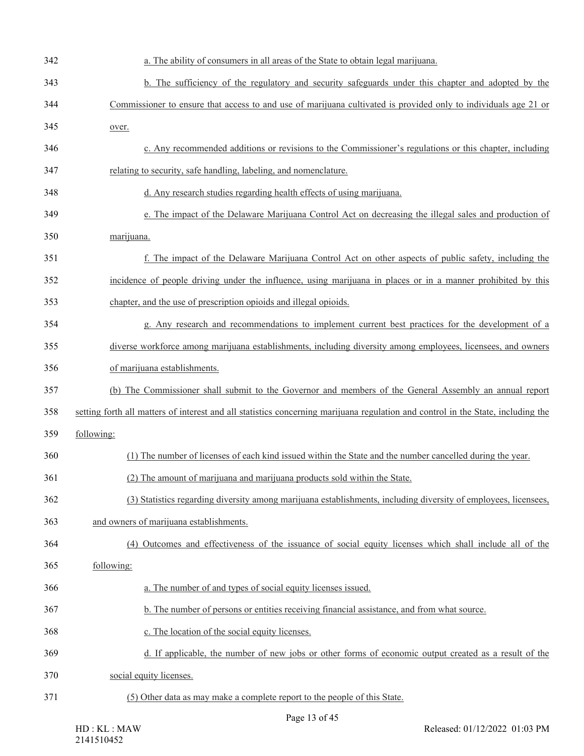| 342 | a. The ability of consumers in all areas of the State to obtain legal marijuana.                                                 |
|-----|----------------------------------------------------------------------------------------------------------------------------------|
| 343 | b. The sufficiency of the regulatory and security safeguards under this chapter and adopted by the                               |
| 344 | Commissioner to ensure that access to and use of marijuana cultivated is provided only to individuals age 21 or                  |
| 345 | over.                                                                                                                            |
| 346 | c. Any recommended additions or revisions to the Commissioner's regulations or this chapter, including                           |
| 347 | relating to security, safe handling, labeling, and nomenclature.                                                                 |
| 348 | d. Any research studies regarding health effects of using marijuana.                                                             |
| 349 | e. The impact of the Delaware Marijuana Control Act on decreasing the illegal sales and production of                            |
| 350 | marijuana.                                                                                                                       |
| 351 | f. The impact of the Delaware Marijuana Control Act on other aspects of public safety, including the                             |
| 352 | incidence of people driving under the influence, using marijuana in places or in a manner prohibited by this                     |
| 353 | chapter, and the use of prescription opioids and illegal opioids.                                                                |
| 354 | g. Any research and recommendations to implement current best practices for the development of a                                 |
| 355 | diverse workforce among marijuana establishments, including diversity among employees, licensees, and owners                     |
| 356 | of marijuana establishments.                                                                                                     |
| 357 | (b) The Commissioner shall submit to the Governor and members of the General Assembly an annual report                           |
| 358 | setting forth all matters of interest and all statistics concerning marijuana regulation and control in the State, including the |
| 359 | following:                                                                                                                       |
| 360 | (1) The number of licenses of each kind issued within the State and the number cancelled during the year.                        |
| 361 | (2) The amount of marijuana and marijuana products sold within the State.                                                        |
| 362 | (3) Statistics regarding diversity among marijuana establishments, including diversity of employees, licensees,                  |
| 363 | and owners of marijuana establishments.                                                                                          |
| 364 | (4) Outcomes and effectiveness of the issuance of social equity licenses which shall include all of the                          |
| 365 | following:                                                                                                                       |
| 366 | a. The number of and types of social equity licenses issued.                                                                     |
| 367 | b. The number of persons or entities receiving financial assistance, and from what source.                                       |
| 368 | c. The location of the social equity licenses.                                                                                   |
| 369 | d. If applicable, the number of new jobs or other forms of economic output created as a result of the                            |
| 370 | social equity licenses.                                                                                                          |
| 371 | (5) Other data as may make a complete report to the people of this State.                                                        |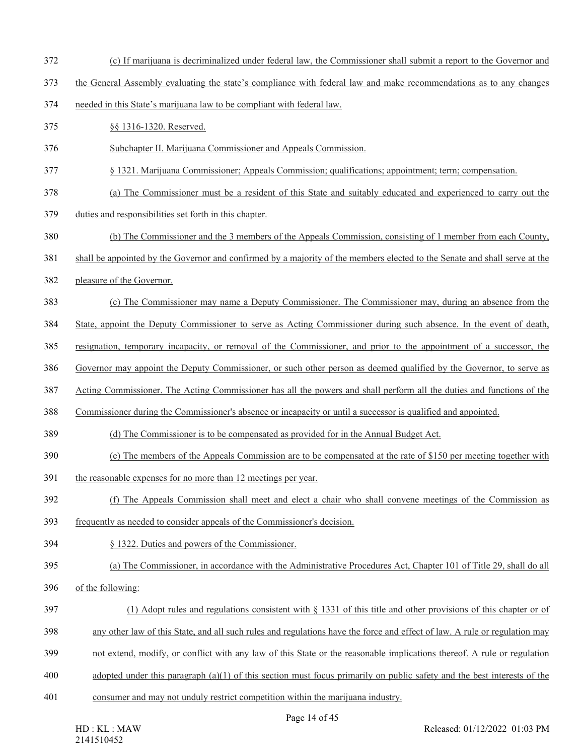- (c) If marijuana is decriminalized under federal law, the Commissioner shall submit a report to the Governor and
- the General Assembly evaluating the state's compliance with federal law and make recommendations as to any changes
- needed in this State's marijuana law to be compliant with federal law.
- §§ 1316-1320. Reserved.
- Subchapter II. Marijuana Commissioner and Appeals Commission.
- § 1321. Marijuana Commissioner; Appeals Commission; qualifications; appointment; term; compensation.
- (a) The Commissioner must be a resident of this State and suitably educated and experienced to carry out the
- duties and responsibilities set forth in this chapter.
- (b) The Commissioner and the 3 members of the Appeals Commission, consisting of 1 member from each County,
- shall be appointed by the Governor and confirmed by a majority of the members elected to the Senate and shall serve at the
- pleasure of the Governor.
- (c) The Commissioner may name a Deputy Commissioner. The Commissioner may, during an absence from the
- State, appoint the Deputy Commissioner to serve as Acting Commissioner during such absence. In the event of death,
- resignation, temporary incapacity, or removal of the Commissioner, and prior to the appointment of a successor, the
- Governor may appoint the Deputy Commissioner, or such other person as deemed qualified by the Governor, to serve as
- Acting Commissioner. The Acting Commissioner has all the powers and shall perform all the duties and functions of the
- Commissioner during the Commissioner's absence or incapacity or until a successor is qualified and appointed.
- (d) The Commissioner is to be compensated as provided for in the Annual Budget Act.
- (e) The members of the Appeals Commission are to be compensated at the rate of \$150 per meeting together with
- the reasonable expenses for no more than 12 meetings per year.
- (f) The Appeals Commission shall meet and elect a chair who shall convene meetings of the Commission as
- frequently as needed to consider appeals of the Commissioner's decision.
- § 1322. Duties and powers of the Commissioner.
- (a) The Commissioner, in accordance with the Administrative Procedures Act, Chapter 101 of Title 29, shall do all
- of the following:
- (1) Adopt rules and regulations consistent with § 1331 of this title and other provisions of this chapter or of
- any other law of this State, and all such rules and regulations have the force and effect of law. A rule or regulation may
- not extend, modify, or conflict with any law of this State or the reasonable implications thereof. A rule or regulation
- adopted under this paragraph (a)(1) of this section must focus primarily on public safety and the best interests of the
- consumer and may not unduly restrict competition within the marijuana industry.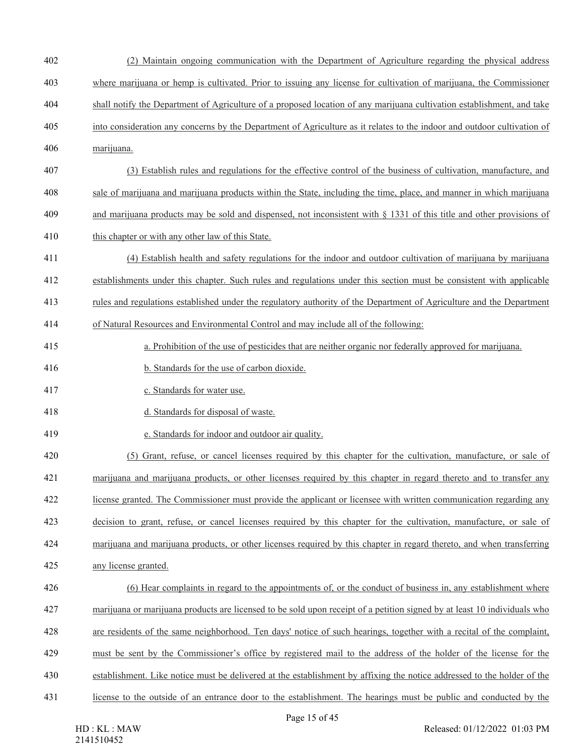- (2) Maintain ongoing communication with the Department of Agriculture regarding the physical address where marijuana or hemp is cultivated. Prior to issuing any license for cultivation of marijuana, the Commissioner shall notify the Department of Agriculture of a proposed location of any marijuana cultivation establishment, and take into consideration any concerns by the Department of Agriculture as it relates to the indoor and outdoor cultivation of
- marijuana.
- (3) Establish rules and regulations for the effective control of the business of cultivation, manufacture, and
- sale of marijuana and marijuana products within the State, including the time, place, and manner in which marijuana
- and marijuana products may be sold and dispensed, not inconsistent with § 1331 of this title and other provisions of
- 410 this chapter or with any other law of this State.
- (4) Establish health and safety regulations for the indoor and outdoor cultivation of marijuana by marijuana
- establishments under this chapter. Such rules and regulations under this section must be consistent with applicable
- rules and regulations established under the regulatory authority of the Department of Agriculture and the Department
- of Natural Resources and Environmental Control and may include all of the following:
- a. Prohibition of the use of pesticides that are neither organic nor federally approved for marijuana.
- b. Standards for the use of carbon dioxide.
- c. Standards for water use.
- d. Standards for disposal of waste.
- e. Standards for indoor and outdoor air quality.
- (5) Grant, refuse, or cancel licenses required by this chapter for the cultivation, manufacture, or sale of
- marijuana and marijuana products, or other licenses required by this chapter in regard thereto and to transfer any
- license granted. The Commissioner must provide the applicant or licensee with written communication regarding any
- 
- decision to grant, refuse, or cancel licenses required by this chapter for the cultivation, manufacture, or sale of
- marijuana and marijuana products, or other licenses required by this chapter in regard thereto, and when transferring
- any license granted.
- (6) Hear complaints in regard to the appointments of, or the conduct of business in, any establishment where marijuana or marijuana products are licensed to be sold upon receipt of a petition signed by at least 10 individuals who
- are residents of the same neighborhood. Ten days' notice of such hearings, together with a recital of the complaint,
- must be sent by the Commissioner's office by registered mail to the address of the holder of the license for the
- establishment. Like notice must be delivered at the establishment by affixing the notice addressed to the holder of the
- license to the outside of an entrance door to the establishment. The hearings must be public and conducted by the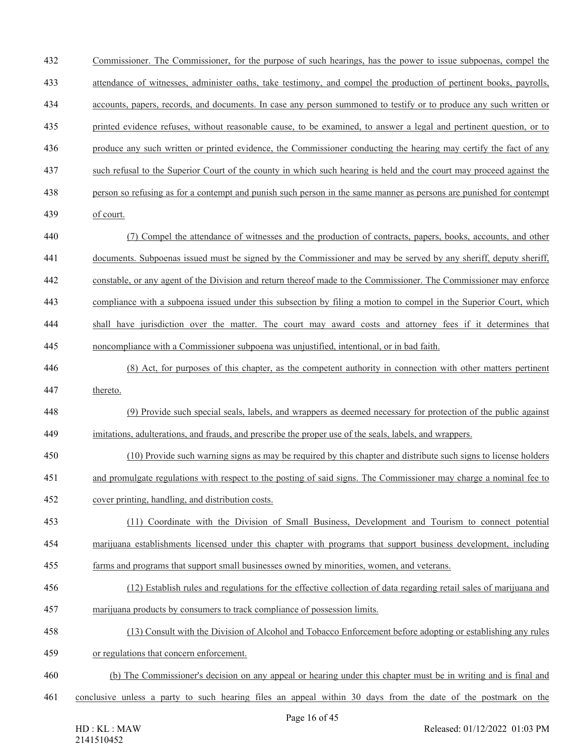Commissioner. The Commissioner, for the purpose of such hearings, has the power to issue subpoenas, compel the attendance of witnesses, administer oaths, take testimony, and compel the production of pertinent books, payrolls, accounts, papers, records, and documents. In case any person summoned to testify or to produce any such written or printed evidence refuses, without reasonable cause, to be examined, to answer a legal and pertinent question, or to produce any such written or printed evidence, the Commissioner conducting the hearing may certify the fact of any such refusal to the Superior Court of the county in which such hearing is held and the court may proceed against the person so refusing as for a contempt and punish such person in the same manner as persons are punished for contempt of court. (7) Compel the attendance of witnesses and the production of contracts, papers, books, accounts, and other documents. Subpoenas issued must be signed by the Commissioner and may be served by any sheriff, deputy sheriff, constable, or any agent of the Division and return thereof made to the Commissioner. The Commissioner may enforce compliance with a subpoena issued under this subsection by filing a motion to compel in the Superior Court, which shall have jurisdiction over the matter. The court may award costs and attorney fees if it determines that noncompliance with a Commissioner subpoena was unjustified, intentional, or in bad faith. (8) Act, for purposes of this chapter, as the competent authority in connection with other matters pertinent thereto. (9) Provide such special seals, labels, and wrappers as deemed necessary for protection of the public against imitations, adulterations, and frauds, and prescribe the proper use of the seals, labels, and wrappers. (10) Provide such warning signs as may be required by this chapter and distribute such signs to license holders and promulgate regulations with respect to the posting of said signs. The Commissioner may charge a nominal fee to cover printing, handling, and distribution costs. (11) Coordinate with the Division of Small Business, Development and Tourism to connect potential marijuana establishments licensed under this chapter with programs that support business development, including farms and programs that support small businesses owned by minorities, women, and veterans. (12) Establish rules and regulations for the effective collection of data regarding retail sales of marijuana and marijuana products by consumers to track compliance of possession limits. (13) Consult with the Division of Alcohol and Tobacco Enforcement before adopting or establishing any rules or regulations that concern enforcement. (b) The Commissioner's decision on any appeal or hearing under this chapter must be in writing and is final and conclusive unless a party to such hearing files an appeal within 30 days from the date of the postmark on the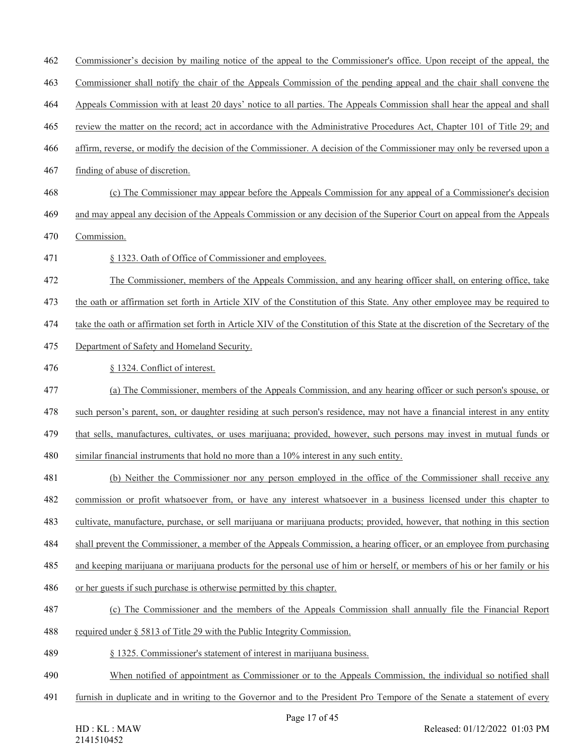- Commissioner's decision by mailing notice of the appeal to the Commissioner's office. Upon receipt of the appeal, the
- Commissioner shall notify the chair of the Appeals Commission of the pending appeal and the chair shall convene the
- Appeals Commission with at least 20 days' notice to all parties. The Appeals Commission shall hear the appeal and shall
- review the matter on the record; act in accordance with the Administrative Procedures Act, Chapter 101 of Title 29; and
- affirm, reverse, or modify the decision of the Commissioner. A decision of the Commissioner may only be reversed upon a
- finding of abuse of discretion.
- (c) The Commissioner may appear before the Appeals Commission for any appeal of a Commissioner's decision
- and may appeal any decision of the Appeals Commission or any decision of the Superior Court on appeal from the Appeals
- Commission.
- § 1323. Oath of Office of Commissioner and employees.
- The Commissioner, members of the Appeals Commission, and any hearing officer shall, on entering office, take
- the oath or affirmation set forth in Article XIV of the Constitution of this State. Any other employee may be required to
- take the oath or affirmation set forth in Article XIV of the Constitution of this State at the discretion of the Secretary of the
- Department of Safety and Homeland Security.

## § 1324. Conflict of interest.

(a) The Commissioner, members of the Appeals Commission, and any hearing officer or such person's spouse, or

such person's parent, son, or daughter residing at such person's residence, may not have a financial interest in any entity

that sells, manufactures, cultivates, or uses marijuana; provided, however, such persons may invest in mutual funds or

similar financial instruments that hold no more than a 10% interest in any such entity.

(b) Neither the Commissioner nor any person employed in the office of the Commissioner shall receive any

commission or profit whatsoever from, or have any interest whatsoever in a business licensed under this chapter to

- cultivate, manufacture, purchase, or sell marijuana or marijuana products; provided, however, that nothing in this section
- shall prevent the Commissioner, a member of the Appeals Commission, a hearing officer, or an employee from purchasing
- and keeping marijuana or marijuana products for the personal use of him or herself, or members of his or her family or his
- or her guests if such purchase is otherwise permitted by this chapter.

### (c) The Commissioner and the members of the Appeals Commission shall annually file the Financial Report

- required under § 5813 of Title 29 with the Public Integrity Commission.
- § 1325. Commissioner's statement of interest in marijuana business.
- When notified of appointment as Commissioner or to the Appeals Commission, the individual so notified shall
- furnish in duplicate and in writing to the Governor and to the President Pro Tempore of the Senate a statement of every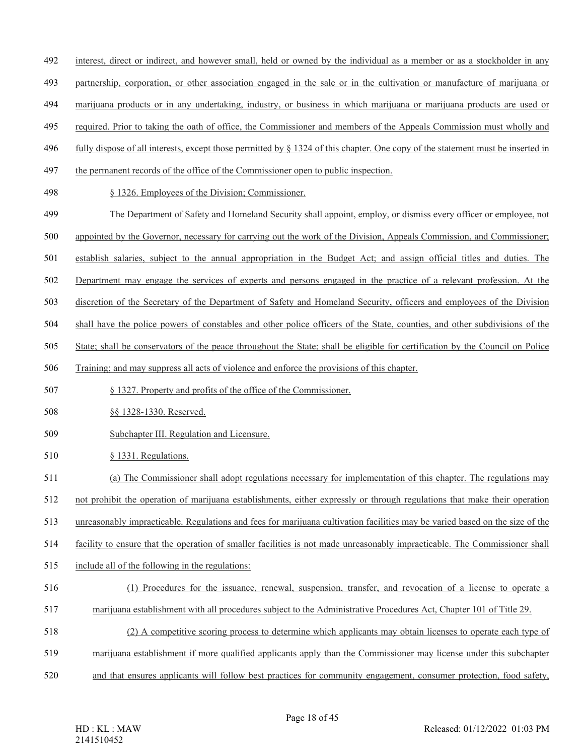- interest, direct or indirect, and however small, held or owned by the individual as a member or as a stockholder in any
- partnership, corporation, or other association engaged in the sale or in the cultivation or manufacture of marijuana or
- marijuana products or in any undertaking, industry, or business in which marijuana or marijuana products are used or
- required. Prior to taking the oath of office, the Commissioner and members of the Appeals Commission must wholly and
- 496 fully dispose of all interests, except those permitted by  $\S$  1324 of this chapter. One copy of the statement must be inserted in
- the permanent records of the office of the Commissioner open to public inspection.
- § 1326. Employees of the Division; Commissioner.
- The Department of Safety and Homeland Security shall appoint, employ, or dismiss every officer or employee, not
- appointed by the Governor, necessary for carrying out the work of the Division, Appeals Commission, and Commissioner;
- establish salaries, subject to the annual appropriation in the Budget Act; and assign official titles and duties. The
- Department may engage the services of experts and persons engaged in the practice of a relevant profession. At the
- discretion of the Secretary of the Department of Safety and Homeland Security, officers and employees of the Division
- shall have the police powers of constables and other police officers of the State, counties, and other subdivisions of the
- State; shall be conservators of the peace throughout the State; shall be eligible for certification by the Council on Police
- Training; and may suppress all acts of violence and enforce the provisions of this chapter.
- § 1327. Property and profits of the office of the Commissioner.
- §§ 1328-1330. Reserved.
- Subchapter III. Regulation and Licensure.
- § 1331. Regulations.
- (a) The Commissioner shall adopt regulations necessary for implementation of this chapter. The regulations may
- not prohibit the operation of marijuana establishments, either expressly or through regulations that make their operation
- unreasonably impracticable. Regulations and fees for marijuana cultivation facilities may be varied based on the size of the
- facility to ensure that the operation of smaller facilities is not made unreasonably impracticable. The Commissioner shall
- include all of the following in the regulations:
- (1) Procedures for the issuance, renewal, suspension, transfer, and revocation of a license to operate a
- marijuana establishment with all procedures subject to the Administrative Procedures Act, Chapter 101 of Title 29.
- (2) A competitive scoring process to determine which applicants may obtain licenses to operate each type of
- marijuana establishment if more qualified applicants apply than the Commissioner may license under this subchapter
- and that ensures applicants will follow best practices for community engagement, consumer protection, food safety,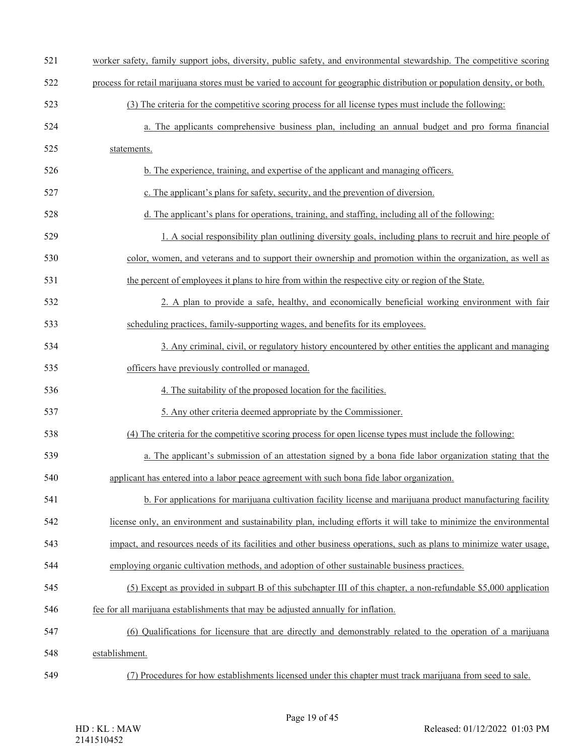| 521 | worker safety, family support jobs, diversity, public safety, and environmental stewardship. The competitive scoring      |
|-----|---------------------------------------------------------------------------------------------------------------------------|
| 522 | process for retail marijuana stores must be varied to account for geographic distribution or population density, or both. |
| 523 | (3) The criteria for the competitive scoring process for all license types must include the following:                    |
| 524 | a. The applicants comprehensive business plan, including an annual budget and pro forma financial                         |
| 525 | statements.                                                                                                               |
| 526 | b. The experience, training, and expertise of the applicant and managing officers.                                        |
| 527 | c. The applicant's plans for safety, security, and the prevention of diversion.                                           |
| 528 | d. The applicant's plans for operations, training, and staffing, including all of the following:                          |
| 529 | 1. A social responsibility plan outlining diversity goals, including plans to recruit and hire people of                  |
| 530 | color, women, and veterans and to support their ownership and promotion within the organization, as well as               |
| 531 | the percent of employees it plans to hire from within the respective city or region of the State.                         |
| 532 | 2. A plan to provide a safe, healthy, and economically beneficial working environment with fair                           |
| 533 | scheduling practices, family-supporting wages, and benefits for its employees.                                            |
| 534 | 3. Any criminal, civil, or regulatory history encountered by other entities the applicant and managing                    |
| 535 | officers have previously controlled or managed.                                                                           |
| 536 | 4. The suitability of the proposed location for the facilities.                                                           |
| 537 | 5. Any other criteria deemed appropriate by the Commissioner.                                                             |
| 538 | (4) The criteria for the competitive scoring process for open license types must include the following:                   |
| 539 | a. The applicant's submission of an attestation signed by a bona fide labor organization stating that the                 |
| 540 | applicant has entered into a labor peace agreement with such bona fide labor organization.                                |
| 541 | b. For applications for marijuana cultivation facility license and marijuana product manufacturing facility               |
| 542 | license only, an environment and sustainability plan, including efforts it will take to minimize the environmental        |
| 543 | impact, and resources needs of its facilities and other business operations, such as plans to minimize water usage,       |
| 544 | employing organic cultivation methods, and adoption of other sustainable business practices.                              |
| 545 | (5) Except as provided in subpart B of this subchapter III of this chapter, a non-refundable \$5,000 application          |
| 546 | fee for all marijuana establishments that may be adjusted annually for inflation.                                         |
| 547 | (6) Qualifications for licensure that are directly and demonstrably related to the operation of a marijuana               |
| 548 | establishment.                                                                                                            |
| 549 | (7) Procedures for how establishments licensed under this chapter must track marijuana from seed to sale.                 |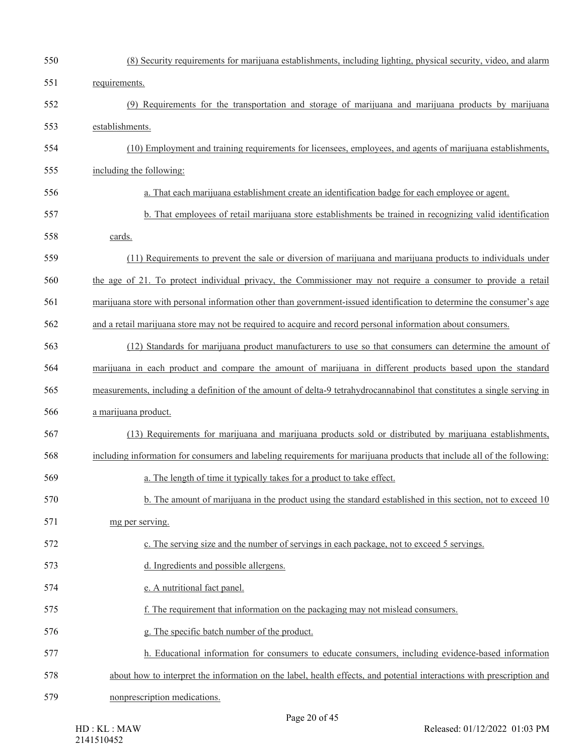| 550 | (8) Security requirements for marijuana establishments, including lighting, physical security, video, and alarm         |
|-----|-------------------------------------------------------------------------------------------------------------------------|
| 551 | requirements.                                                                                                           |
| 552 | (9) Requirements for the transportation and storage of marijuana and marijuana products by marijuana                    |
| 553 | establishments.                                                                                                         |
| 554 | (10) Employment and training requirements for licensees, employees, and agents of marijuana establishments,             |
| 555 | including the following:                                                                                                |
| 556 | a. That each marijuana establishment create an identification badge for each employee or agent.                         |
| 557 | b. That employees of retail marijuana store establishments be trained in recognizing valid identification               |
| 558 | cards.                                                                                                                  |
| 559 | (11) Requirements to prevent the sale or diversion of marijuana and marijuana products to individuals under             |
| 560 | the age of 21. To protect individual privacy, the Commissioner may not require a consumer to provide a retail           |
| 561 | marijuana store with personal information other than government-issued identification to determine the consumer's age   |
| 562 | and a retail marijuana store may not be required to acquire and record personal information about consumers.            |
| 563 | (12) Standards for marijuana product manufacturers to use so that consumers can determine the amount of                 |
| 564 | marijuana in each product and compare the amount of marijuana in different products based upon the standard             |
| 565 | measurements, including a definition of the amount of delta-9 tetrahydrocannabinol that constitutes a single serving in |
| 566 | a marijuana product.                                                                                                    |
| 567 | (13) Requirements for marijuana and marijuana products sold or distributed by marijuana establishments,                 |
| 568 | including information for consumers and labeling requirements for marijuana products that include all of the following: |
| 569 | a. The length of time it typically takes for a product to take effect.                                                  |
| 570 | b. The amount of marijuana in the product using the standard established in this section, not to exceed 10              |
| 571 | mg per serving.                                                                                                         |
| 572 | c. The serving size and the number of servings in each package, not to exceed 5 servings.                               |
| 573 | d. Ingredients and possible allergens.                                                                                  |
| 574 | e. A nutritional fact panel.                                                                                            |
| 575 | f. The requirement that information on the packaging may not mislead consumers.                                         |
| 576 | g. The specific batch number of the product.                                                                            |
| 577 | h. Educational information for consumers to educate consumers, including evidence-based information                     |
| 578 | about how to interpret the information on the label, health effects, and potential interactions with prescription and   |
| 579 | nonprescription medications.                                                                                            |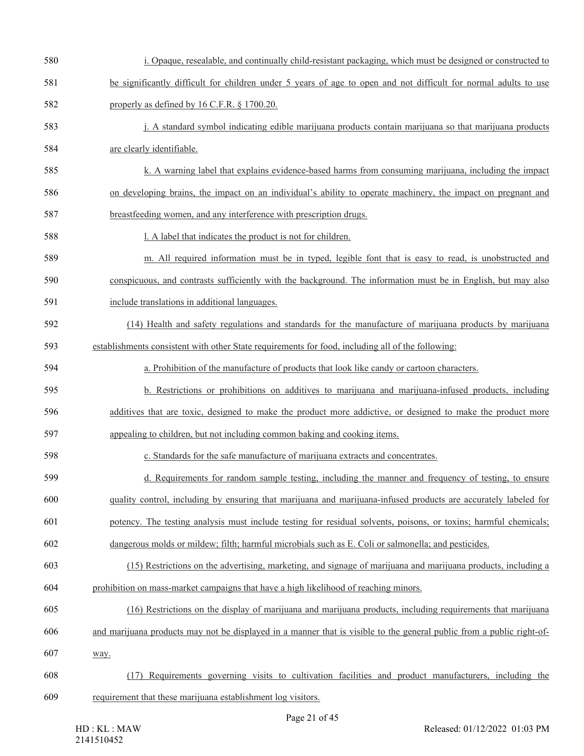| 580 | i. Opaque, resealable, and continually child-resistant packaging, which must be designed or constructed to            |
|-----|-----------------------------------------------------------------------------------------------------------------------|
| 581 | be significantly difficult for children under 5 years of age to open and not difficult for normal adults to use       |
| 582 | properly as defined by 16 C.F.R. § 1700.20.                                                                           |
| 583 | j. A standard symbol indicating edible marijuana products contain marijuana so that marijuana products                |
| 584 | are clearly identifiable.                                                                                             |
| 585 | k. A warning label that explains evidence-based harms from consuming marijuana, including the impact                  |
| 586 | on developing brains, the impact on an individual's ability to operate machinery, the impact on pregnant and          |
| 587 | breastfeeding women, and any interference with prescription drugs.                                                    |
| 588 | 1. A label that indicates the product is not for children.                                                            |
| 589 | m. All required information must be in typed, legible font that is easy to read, is unobstructed and                  |
| 590 | conspicuous, and contrasts sufficiently with the background. The information must be in English, but may also         |
| 591 | include translations in additional languages.                                                                         |
| 592 | (14) Health and safety regulations and standards for the manufacture of marijuana products by marijuana               |
| 593 | establishments consistent with other State requirements for food, including all of the following:                     |
| 594 | a. Prohibition of the manufacture of products that look like candy or cartoon characters.                             |
| 595 | b. Restrictions or prohibitions on additives to marijuana and marijuana-infused products, including                   |
| 596 | additives that are toxic, designed to make the product more addictive, or designed to make the product more           |
| 597 | appealing to children, but not including common baking and cooking items.                                             |
| 598 | c. Standards for the safe manufacture of marijuana extracts and concentrates.                                         |
| 599 | d. Requirements for random sample testing, including the manner and frequency of testing, to ensure                   |
| 600 | quality control, including by ensuring that marijuana and marijuana-infused products are accurately labeled for       |
| 601 | potency. The testing analysis must include testing for residual solvents, poisons, or toxins; harmful chemicals;      |
| 602 | dangerous molds or mildew; filth; harmful microbials such as E. Coli or salmonella; and pesticides.                   |
| 603 | (15) Restrictions on the advertising, marketing, and signage of marijuana and marijuana products, including a         |
| 604 | prohibition on mass-market campaigns that have a high likelihood of reaching minors.                                  |
| 605 | (16) Restrictions on the display of marijuana and marijuana products, including requirements that marijuana           |
| 606 | and marijuana products may not be displayed in a manner that is visible to the general public from a public right-of- |
| 607 | way.                                                                                                                  |
| 608 | (17) Requirements governing visits to cultivation facilities and product manufacturers, including the                 |
| 609 | requirement that these marijuana establishment log visitors.                                                          |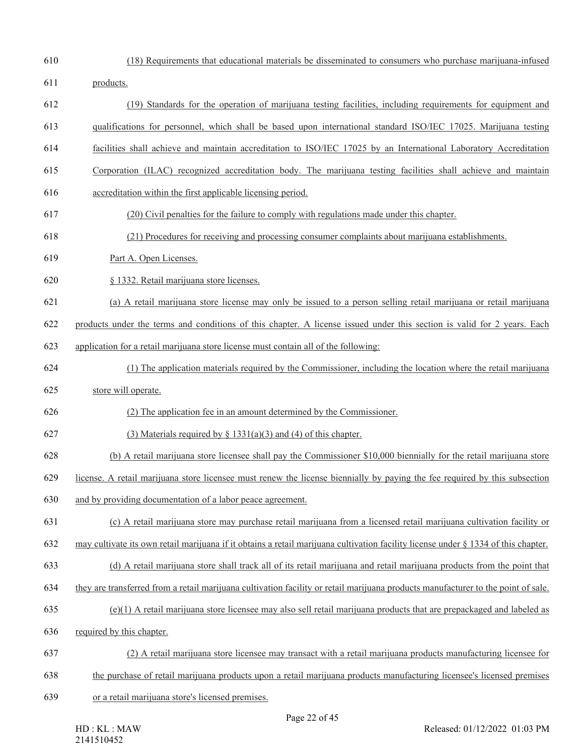- (18) Requirements that educational materials be disseminated to consumers who purchase marijuana-infused
- products.
- (19) Standards for the operation of marijuana testing facilities, including requirements for equipment and
- qualifications for personnel, which shall be based upon international standard ISO/IEC 17025. Marijuana testing
- facilities shall achieve and maintain accreditation to ISO/IEC 17025 by an International Laboratory Accreditation
- Corporation (ILAC) recognized accreditation body. The marijuana testing facilities shall achieve and maintain
- accreditation within the first applicable licensing period.
- (20) Civil penalties for the failure to comply with regulations made under this chapter.
- (21) Procedures for receiving and processing consumer complaints about marijuana establishments.
- Part A. Open Licenses.
- § 1332. Retail marijuana store licenses.
- (a) A retail marijuana store license may only be issued to a person selling retail marijuana or retail marijuana
- products under the terms and conditions of this chapter. A license issued under this section is valid for 2 years. Each
- application for a retail marijuana store license must contain all of the following:
- (1) The application materials required by the Commissioner, including the location where the retail marijuana
- store will operate.
- (2) The application fee in an amount determined by the Commissioner.
- 627 (3) Materials required by  $\S$  1331(a)(3) and (4) of this chapter.
- (b) A retail marijuana store licensee shall pay the Commissioner \$10,000 biennially for the retail marijuana store
- license. A retail marijuana store licensee must renew the license biennially by paying the fee required by this subsection
- and by providing documentation of a labor peace agreement.
- (c) A retail marijuana store may purchase retail marijuana from a licensed retail marijuana cultivation facility or
- may cultivate its own retail marijuana if it obtains a retail marijuana cultivation facility license under § 1334 of this chapter.
- (d) A retail marijuana store shall track all of its retail marijuana and retail marijuana products from the point that
- they are transferred from a retail marijuana cultivation facility or retail marijuana products manufacturer to the point of sale.
- (e)(1) A retail marijuana store licensee may also sell retail marijuana products that are prepackaged and labeled as
- required by this chapter.
- (2) A retail marijuana store licensee may transact with a retail marijuana products manufacturing licensee for
- the purchase of retail marijuana products upon a retail marijuana products manufacturing licensee's licensed premises
- or a retail marijuana store's licensed premises.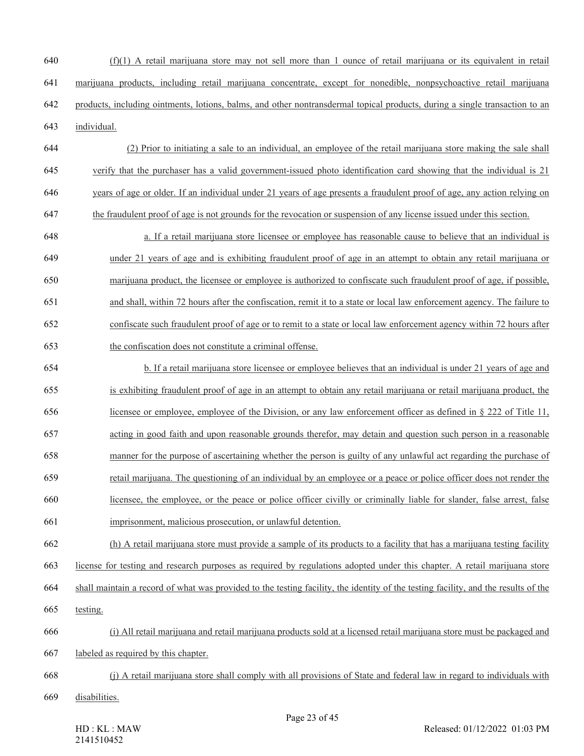- (f)(1) A retail marijuana store may not sell more than 1 ounce of retail marijuana or its equivalent in retail marijuana products, including retail marijuana concentrate, except for nonedible, nonpsychoactive retail marijuana products, including ointments, lotions, balms, and other nontransdermal topical products, during a single transaction to an individual.
- (2) Prior to initiating a sale to an individual, an employee of the retail marijuana store making the sale shall verify that the purchaser has a valid government-issued photo identification card showing that the individual is 21 years of age or older. If an individual under 21 years of age presents a fraudulent proof of age, any action relying on
- the fraudulent proof of age is not grounds for the revocation or suspension of any license issued under this section.
- a. If a retail marijuana store licensee or employee has reasonable cause to believe that an individual is under 21 years of age and is exhibiting fraudulent proof of age in an attempt to obtain any retail marijuana or marijuana product, the licensee or employee is authorized to confiscate such fraudulent proof of age, if possible, and shall, within 72 hours after the confiscation, remit it to a state or local law enforcement agency. The failure to confiscate such fraudulent proof of age or to remit to a state or local law enforcement agency within 72 hours after the confiscation does not constitute a criminal offense.
- b. If a retail marijuana store licensee or employee believes that an individual is under 21 years of age and is exhibiting fraudulent proof of age in an attempt to obtain any retail marijuana or retail marijuana product, the licensee or employee, employee of the Division, or any law enforcement officer as defined in § 222 of Title 11, acting in good faith and upon reasonable grounds therefor, may detain and question such person in a reasonable manner for the purpose of ascertaining whether the person is guilty of any unlawful act regarding the purchase of retail marijuana. The questioning of an individual by an employee or a peace or police officer does not render the licensee, the employee, or the peace or police officer civilly or criminally liable for slander, false arrest, false
- imprisonment, malicious prosecution, or unlawful detention.
- (h) A retail marijuana store must provide a sample of its products to a facility that has a marijuana testing facility
- license for testing and research purposes as required by regulations adopted under this chapter. A retail marijuana store
- shall maintain a record of what was provided to the testing facility, the identity of the testing facility, and the results of the
- testing.
- (i) All retail marijuana and retail marijuana products sold at a licensed retail marijuana store must be packaged and
- labeled as required by this chapter.
- (j) A retail marijuana store shall comply with all provisions of State and federal law in regard to individuals with
- disabilities.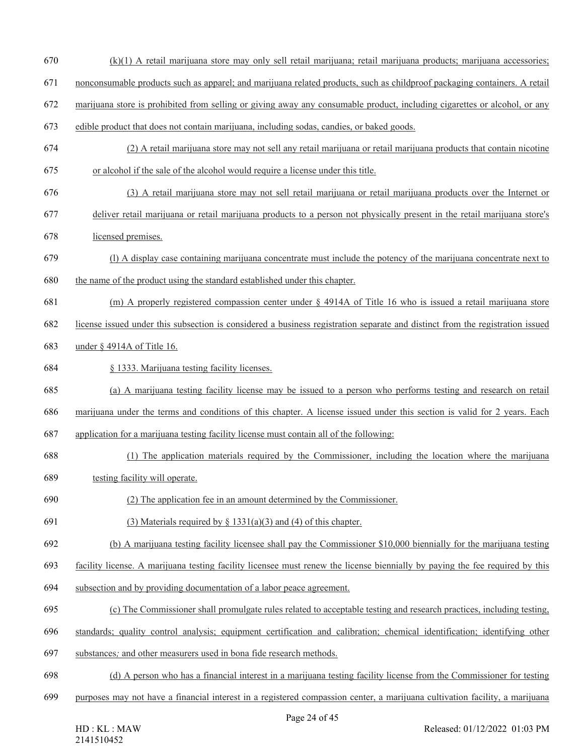- (k)(1) A retail marijuana store may only sell retail marijuana; retail marijuana products; marijuana accessories;
- nonconsumable products such as apparel; and marijuana related products, such as childproof packaging containers. A retail
- marijuana store is prohibited from selling or giving away any consumable product, including cigarettes or alcohol, or any
- edible product that does not contain marijuana, including sodas, candies, or baked goods.
- (2) A retail marijuana store may not sell any retail marijuana or retail marijuana products that contain nicotine or alcohol if the sale of the alcohol would require a license under this title.
- (3) A retail marijuana store may not sell retail marijuana or retail marijuana products over the Internet or
- deliver retail marijuana or retail marijuana products to a person not physically present in the retail marijuana store's
- licensed premises.
- (l) A display case containing marijuana concentrate must include the potency of the marijuana concentrate next to the name of the product using the standard established under this chapter.
- (m) A properly registered compassion center under § 4914A of Title 16 who is issued a retail marijuana store
- license issued under this subsection is considered a business registration separate and distinct from the registration issued
- under § 4914A of Title 16.
- § 1333. Marijuana testing facility licenses.
- (a) A marijuana testing facility license may be issued to a person who performs testing and research on retail
- marijuana under the terms and conditions of this chapter. A license issued under this section is valid for 2 years. Each
- application for a marijuana testing facility license must contain all of the following:
- (1) The application materials required by the Commissioner, including the location where the marijuana
- testing facility will operate.
- (2) The application fee in an amount determined by the Commissioner.
- 691 (3) Materials required by  $\S$  1331(a)(3) and (4) of this chapter.
- (b) A marijuana testing facility licensee shall pay the Commissioner \$10,000 biennially for the marijuana testing
- facility license. A marijuana testing facility licensee must renew the license biennially by paying the fee required by this
- subsection and by providing documentation of a labor peace agreement.
- (c) The Commissioner shall promulgate rules related to acceptable testing and research practices, including testing,
- standards; quality control analysis; equipment certification and calibration; chemical identification; identifying other
- substances*;* and other measurers used in bona fide research methods.
- (d) A person who has a financial interest in a marijuana testing facility license from the Commissioner for testing
- purposes may not have a financial interest in a registered compassion center, a marijuana cultivation facility, a marijuana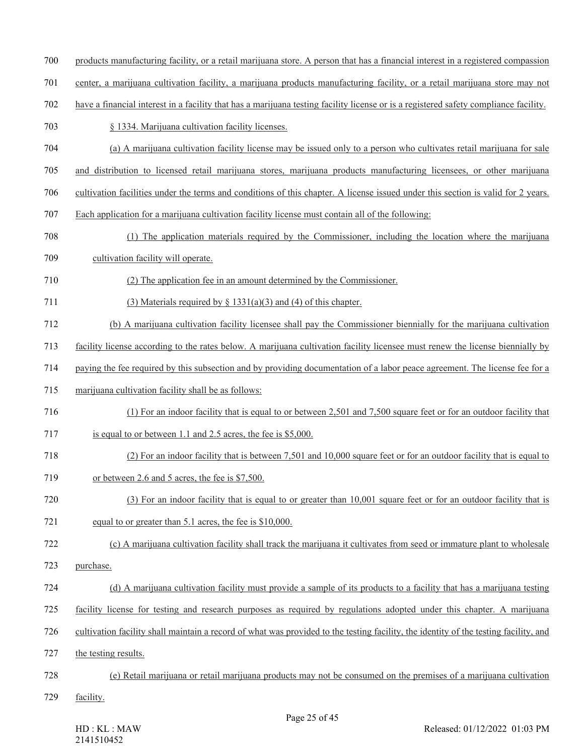- products manufacturing facility, or a retail marijuana store. A person that has a financial interest in a registered compassion
- center, a marijuana cultivation facility, a marijuana products manufacturing facility, or a retail marijuana store may not
- have a financial interest in a facility that has a marijuana testing facility license or is a registered safety compliance facility.
- § 1334. Marijuana cultivation facility licenses.
- (a) A marijuana cultivation facility license may be issued only to a person who cultivates retail marijuana for sale
- and distribution to licensed retail marijuana stores, marijuana products manufacturing licensees, or other marijuana
- cultivation facilities under the terms and conditions of this chapter. A license issued under this section is valid for 2 years.
- Each application for a marijuana cultivation facility license must contain all of the following:
- (1) The application materials required by the Commissioner, including the location where the marijuana
- cultivation facility will operate.
- (2) The application fee in an amount determined by the Commissioner.
- 711 (3) Materials required by  $\S$  1331(a)(3) and (4) of this chapter.
- (b) A marijuana cultivation facility licensee shall pay the Commissioner biennially for the marijuana cultivation
- facility license according to the rates below. A marijuana cultivation facility licensee must renew the license biennially by
- paying the fee required by this subsection and by providing documentation of a labor peace agreement. The license fee for a
- marijuana cultivation facility shall be as follows:
- (1) For an indoor facility that is equal to or between 2,501 and 7,500 square feet or for an outdoor facility that
- is equal to or between 1.1 and 2.5 acres, the fee is \$5,000.
- (2) For an indoor facility that is between 7,501 and 10,000 square feet or for an outdoor facility that is equal to
- or between 2.6 and 5 acres, the fee is \$7,500.
- (3) For an indoor facility that is equal to or greater than 10,001 square feet or for an outdoor facility that is equal to or greater than 5.1 acres, the fee is \$10,000.
- (c) A marijuana cultivation facility shall track the marijuana it cultivates from seed or immature plant to wholesale
- purchase.
- (d) A marijuana cultivation facility must provide a sample of its products to a facility that has a marijuana testing
- facility license for testing and research purposes as required by regulations adopted under this chapter. A marijuana
- cultivation facility shall maintain a record of what was provided to the testing facility, the identity of the testing facility, and
- the testing results.
- (e) Retail marijuana or retail marijuana products may not be consumed on the premises of a marijuana cultivation
- facility.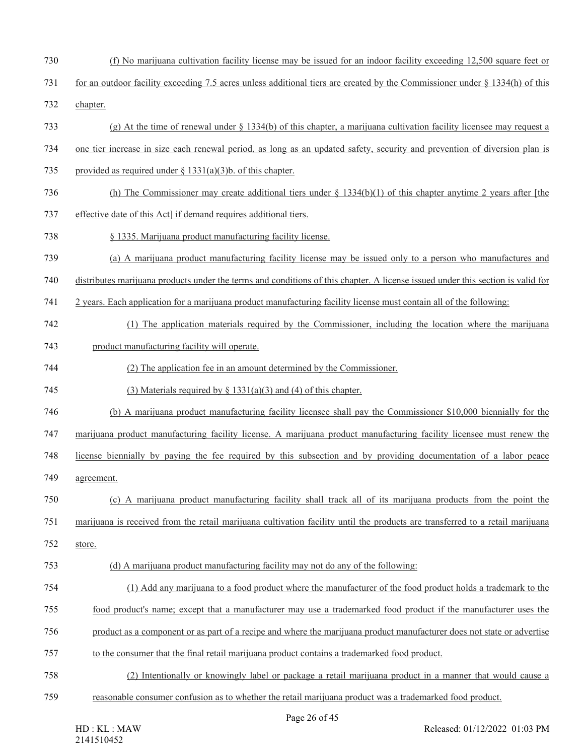- (f) No marijuana cultivation facility license may be issued for an indoor facility exceeding 12,500 square feet or
- for an outdoor facility exceeding 7.5 acres unless additional tiers are created by the Commissioner under § 1334(h) of this
- chapter.
- (g) At the time of renewal under § 1334(b) of this chapter, a marijuana cultivation facility licensee may request a
- one tier increase in size each renewal period, as long as an updated safety, security and prevention of diversion plan is
- provided as required under § 1331(a)(3)b. of this chapter.
- (h) The Commissioner may create additional tiers under § 1334(b)(1) of this chapter anytime 2 years after [the
- effective date of this Act] if demand requires additional tiers.
- § 1335. Marijuana product manufacturing facility license.
- (a) A marijuana product manufacturing facility license may be issued only to a person who manufactures and

distributes marijuana products under the terms and conditions of this chapter. A license issued under this section is valid for

- 2 years. Each application for a marijuana product manufacturing facility license must contain all of the following:
- (1) The application materials required by the Commissioner, including the location where the marijuana
- product manufacturing facility will operate.
- (2) The application fee in an amount determined by the Commissioner.
- 745 (3) Materials required by  $\S$  1331(a)(3) and (4) of this chapter.
- (b) A marijuana product manufacturing facility licensee shall pay the Commissioner \$10,000 biennially for the
- marijuana product manufacturing facility license. A marijuana product manufacturing facility licensee must renew the
- license biennially by paying the fee required by this subsection and by providing documentation of a labor peace
- agreement.
- (c) A marijuana product manufacturing facility shall track all of its marijuana products from the point the
- marijuana is received from the retail marijuana cultivation facility until the products are transferred to a retail marijuana
- store.
- (d) A marijuana product manufacturing facility may not do any of the following:
- (1) Add any marijuana to a food product where the manufacturer of the food product holds a trademark to the
- food product's name; except that a manufacturer may use a trademarked food product if the manufacturer uses the
- product as a component or as part of a recipe and where the marijuana product manufacturer does not state or advertise
- to the consumer that the final retail marijuana product contains a trademarked food product.
- (2) Intentionally or knowingly label or package a retail marijuana product in a manner that would cause a
- reasonable consumer confusion as to whether the retail marijuana product was a trademarked food product.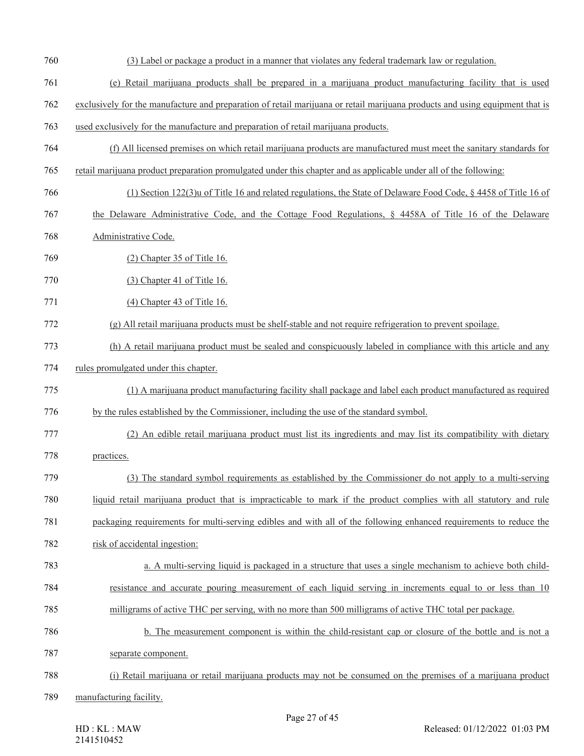(3) Label or package a product in a manner that violates any federal trademark law or regulation. (e) Retail marijuana products shall be prepared in a marijuana product manufacturing facility that is used exclusively for the manufacture and preparation of retail marijuana or retail marijuana products and using equipment that is used exclusively for the manufacture and preparation of retail marijuana products. (f) All licensed premises on which retail marijuana products are manufactured must meet the sanitary standards for retail marijuana product preparation promulgated under this chapter and as applicable under all of the following: (1) Section 122(3)u of Title 16 and related regulations, the State of Delaware Food Code, § 4458 of Title 16 of the Delaware Administrative Code, and the Cottage Food Regulations, § 4458A of Title 16 of the Delaware Administrative Code. (2) Chapter 35 of Title 16. (3) Chapter 41 of Title 16. (4) Chapter 43 of Title 16. (g) All retail marijuana products must be shelf-stable and not require refrigeration to prevent spoilage. (h) A retail marijuana product must be sealed and conspicuously labeled in compliance with this article and any rules promulgated under this chapter. (1) A marijuana product manufacturing facility shall package and label each product manufactured as required by the rules established by the Commissioner, including the use of the standard symbol. (2) An edible retail marijuana product must list its ingredients and may list its compatibility with dietary practices. (3) The standard symbol requirements as established by the Commissioner do not apply to a multi-serving liquid retail marijuana product that is impracticable to mark if the product complies with all statutory and rule packaging requirements for multi-serving edibles and with all of the following enhanced requirements to reduce the risk of accidental ingestion: a. A multi-serving liquid is packaged in a structure that uses a single mechanism to achieve both child- resistance and accurate pouring measurement of each liquid serving in increments equal to or less than 10 milligrams of active THC per serving, with no more than 500 milligrams of active THC total per package. b. The measurement component is within the child-resistant cap or closure of the bottle and is not a separate component. (i) Retail marijuana or retail marijuana products may not be consumed on the premises of a marijuana product manufacturing facility.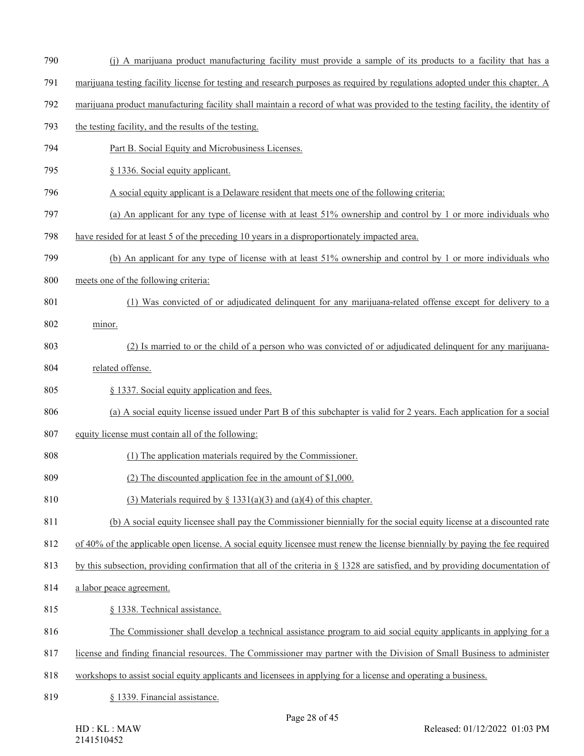- (j) A marijuana product manufacturing facility must provide a sample of its products to a facility that has a
- marijuana testing facility license for testing and research purposes as required by regulations adopted under this chapter. A
- marijuana product manufacturing facility shall maintain a record of what was provided to the testing facility, the identity of
- the testing facility, and the results of the testing.
- Part B. Social Equity and Microbusiness Licenses.
- 795 § 1336. Social equity applicant.
- A social equity applicant is a Delaware resident that meets one of the following criteria:
- (a) An applicant for any type of license with at least 51% ownership and control by 1 or more individuals who
- have resided for at least 5 of the preceding 10 years in a disproportionately impacted area.
- (b) An applicant for any type of license with at least 51% ownership and control by 1 or more individuals who
- meets one of the following criteria:
- (1) Was convicted of or adjudicated delinquent for any marijuana-related offense except for delivery to a
- minor.
- (2) Is married to or the child of a person who was convicted of or adjudicated delinquent for any marijuana-
- related offense.
- § 1337. Social equity application and fees.
- (a) A social equity license issued under Part B of this subchapter is valid for 2 years. Each application for a social
- equity license must contain all of the following:
- (1) The application materials required by the Commissioner.
- (2) The discounted application fee in the amount of \$1,000.
- 810 (3) Materials required by  $\S$  1331(a)(3) and (a)(4) of this chapter.
- (b) A social equity licensee shall pay the Commissioner biennially for the social equity license at a discounted rate
- of 40% of the applicable open license. A social equity licensee must renew the license biennially by paying the fee required

813 by this subsection, providing confirmation that all of the criteria in § 1328 are satisfied, and by providing documentation of

- a labor peace agreement.
- 815 § 1338. Technical assistance.
- The Commissioner shall develop a technical assistance program to aid social equity applicants in applying for a
- license and finding financial resources. The Commissioner may partner with the Division of Small Business to administer
- workshops to assist social equity applicants and licensees in applying for a license and operating a business.
- § 1339. Financial assistance.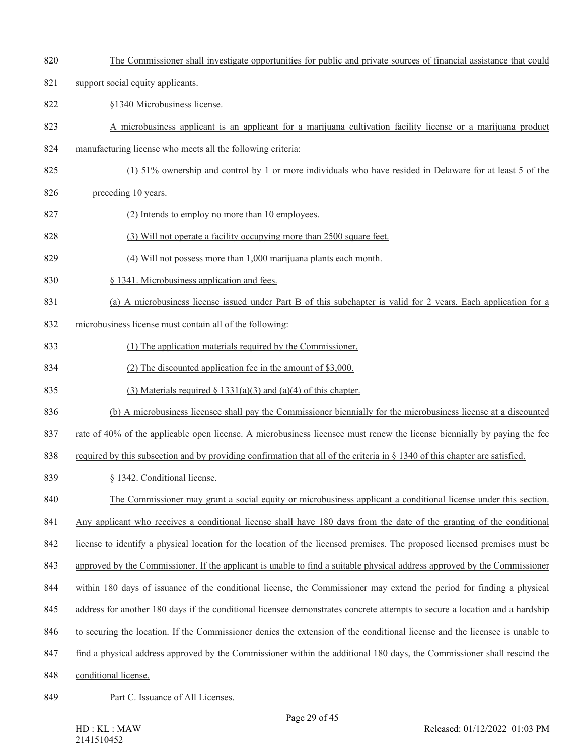- The Commissioner shall investigate opportunities for public and private sources of financial assistance that could
- support social equity applicants.
- §1340 Microbusiness license.
- A microbusiness applicant is an applicant for a marijuana cultivation facility license or a marijuana product
- manufacturing license who meets all the following criteria:
- (1) 51% ownership and control by 1 or more individuals who have resided in Delaware for at least 5 of the
- preceding 10 years.
- 827 (2) Intends to employ no more than 10 employees.
- 828 (3) Will not operate a facility occupying more than 2500 square feet.
- (4) Will not possess more than 1,000 marijuana plants each month.
- § 1341. Microbusiness application and fees.
- (a) A microbusiness license issued under Part B of this subchapter is valid for 2 years. Each application for a
- microbusiness license must contain all of the following:
- (1) The application materials required by the Commissioner.
- (2) The discounted application fee in the amount of \$3,000.
- 835 (3) Materials required  $\S$  1331(a)(3) and (a)(4) of this chapter.
- (b) A microbusiness licensee shall pay the Commissioner biennially for the microbusiness license at a discounted
- rate of 40% of the applicable open license. A microbusiness licensee must renew the license biennially by paying the fee
- required by this subsection and by providing confirmation that all of the criteria in § 1340 of this chapter are satisfied.
- § 1342. Conditional license.
- The Commissioner may grant a social equity or microbusiness applicant a conditional license under this section.
- Any applicant who receives a conditional license shall have 180 days from the date of the granting of the conditional
- license to identify a physical location for the location of the licensed premises. The proposed licensed premises must be
- 843 approved by the Commissioner. If the applicant is unable to find a suitable physical address approved by the Commissioner
- within 180 days of issuance of the conditional license, the Commissioner may extend the period for finding a physical
- 845 address for another 180 days if the conditional licensee demonstrates concrete attempts to secure a location and a hardship
- to securing the location. If the Commissioner denies the extension of the conditional license and the licensee is unable to
- find a physical address approved by the Commissioner within the additional 180 days, the Commissioner shall rescind the
- conditional license.
- 849 Part C. Issuance of All Licenses.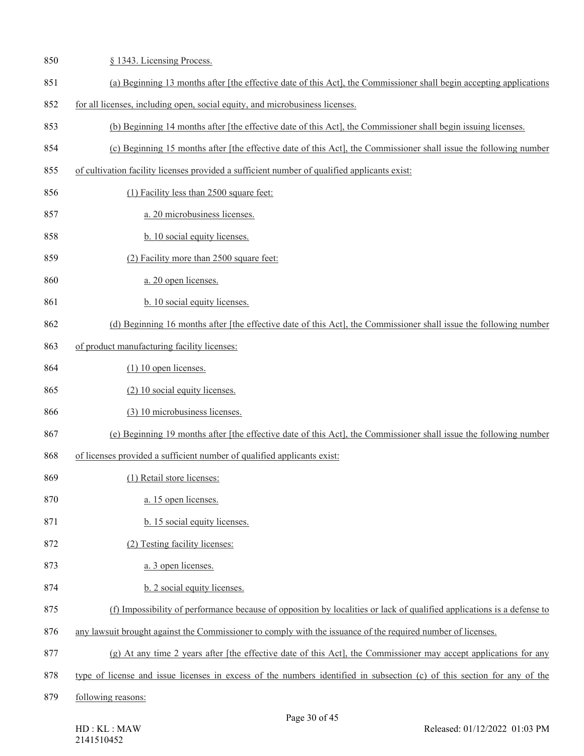| 850 | § 1343. Licensing Process.                                                                                              |
|-----|-------------------------------------------------------------------------------------------------------------------------|
| 851 | (a) Beginning 13 months after [the effective date of this Act], the Commissioner shall begin accepting applications     |
| 852 | for all licenses, including open, social equity, and microbusiness licenses.                                            |
| 853 | (b) Beginning 14 months after [the effective date of this Act], the Commissioner shall begin issuing licenses.          |
| 854 | (c) Beginning 15 months after [the effective date of this Act], the Commissioner shall issue the following number       |
| 855 | of cultivation facility licenses provided a sufficient number of qualified applicants exist:                            |
| 856 | (1) Facility less than 2500 square feet:                                                                                |
| 857 | a. 20 microbusiness licenses.                                                                                           |
| 858 | b. 10 social equity licenses.                                                                                           |
| 859 | (2) Facility more than 2500 square feet:                                                                                |
| 860 | a. 20 open licenses.                                                                                                    |
| 861 | b. 10 social equity licenses.                                                                                           |
| 862 | (d) Beginning 16 months after [the effective date of this Act], the Commissioner shall issue the following number       |
| 863 | of product manufacturing facility licenses:                                                                             |
| 864 | $(1)$ 10 open licenses.                                                                                                 |
| 865 | (2) 10 social equity licenses.                                                                                          |
| 866 | (3) 10 microbusiness licenses.                                                                                          |
| 867 | (e) Beginning 19 months after [the effective date of this Act], the Commissioner shall issue the following number       |
| 868 | of licenses provided a sufficient number of qualified applicants exist:                                                 |
| 869 | (1) Retail store licenses:                                                                                              |
| 870 | a. 15 open licenses.                                                                                                    |
| 871 | b. 15 social equity licenses.                                                                                           |
| 872 | (2) Testing facility licenses:                                                                                          |
| 873 | a. 3 open licenses.                                                                                                     |
| 874 | b. 2 social equity licenses.                                                                                            |
| 875 | (f) Impossibility of performance because of opposition by localities or lack of qualified applications is a defense to  |
| 876 | any lawsuit brought against the Commissioner to comply with the issuance of the required number of licenses.            |
| 877 | (g) At any time 2 years after [the effective date of this Act], the Commissioner may accept applications for any        |
| 878 | type of license and issue licenses in excess of the numbers identified in subsection (c) of this section for any of the |
| 879 | following reasons:                                                                                                      |
|     |                                                                                                                         |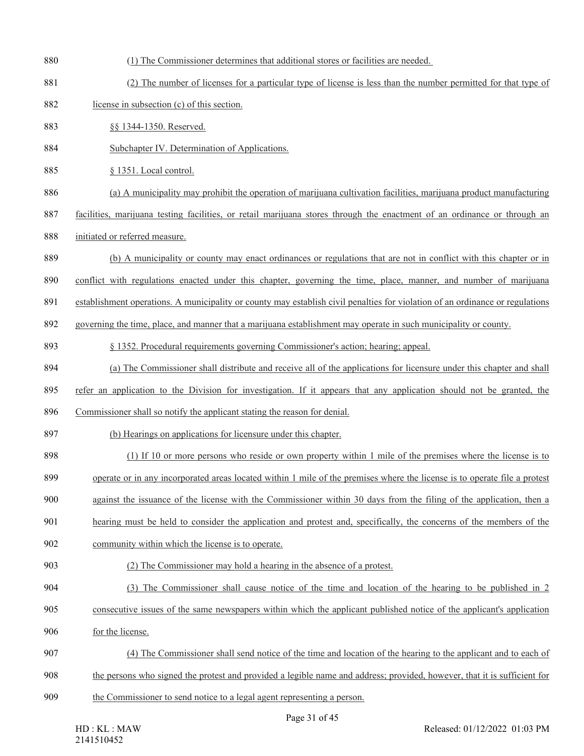(1) The Commissioner determines that additional stores or facilities are needed. (2) The number of licenses for a particular type of license is less than the number permitted for that type of license in subsection (c) of this section. §§ 1344-1350. Reserved. Subchapter IV. Determination of Applications. § 1351. Local control. (a) A municipality may prohibit the operation of marijuana cultivation facilities, marijuana product manufacturing facilities, marijuana testing facilities, or retail marijuana stores through the enactment of an ordinance or through an initiated or referred measure. (b) A municipality or county may enact ordinances or regulations that are not in conflict with this chapter or in conflict with regulations enacted under this chapter, governing the time, place, manner, and number of marijuana establishment operations. A municipality or county may establish civil penalties for violation of an ordinance or regulations governing the time, place, and manner that a marijuana establishment may operate in such municipality or county. § 1352. Procedural requirements governing Commissioner's action; hearing; appeal. (a) The Commissioner shall distribute and receive all of the applications for licensure under this chapter and shall refer an application to the Division for investigation. If it appears that any application should not be granted, the Commissioner shall so notify the applicant stating the reason for denial. (b) Hearings on applications for licensure under this chapter. (1) If 10 or more persons who reside or own property within 1 mile of the premises where the license is to operate or in any incorporated areas located within 1 mile of the premises where the license is to operate file a protest against the issuance of the license with the Commissioner within 30 days from the filing of the application, then a hearing must be held to consider the application and protest and, specifically, the concerns of the members of the community within which the license is to operate. (2) The Commissioner may hold a hearing in the absence of a protest. (3) The Commissioner shall cause notice of the time and location of the hearing to be published in 2 consecutive issues of the same newspapers within which the applicant published notice of the applicant's application for the license. (4) The Commissioner shall send notice of the time and location of the hearing to the applicant and to each of the persons who signed the protest and provided a legible name and address; provided, however, that it is sufficient for the Commissioner to send notice to a legal agent representing a person.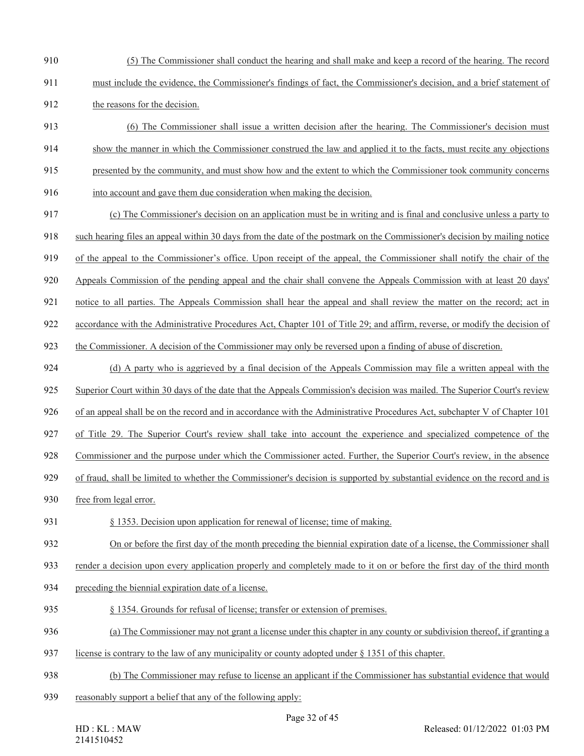- (5) The Commissioner shall conduct the hearing and shall make and keep a record of the hearing. The record
- must include the evidence, the Commissioner's findings of fact, the Commissioner's decision, and a brief statement of the reasons for the decision.
- (6) The Commissioner shall issue a written decision after the hearing. The Commissioner's decision must
- show the manner in which the Commissioner construed the law and applied it to the facts, must recite any objections
- presented by the community, and must show how and the extent to which the Commissioner took community concerns
- into account and gave them due consideration when making the decision.
- (c) The Commissioner's decision on an application must be in writing and is final and conclusive unless a party to such hearing files an appeal within 30 days from the date of the postmark on the Commissioner's decision by mailing notice of the appeal to the Commissioner's office. Upon receipt of the appeal, the Commissioner shall notify the chair of the Appeals Commission of the pending appeal and the chair shall convene the Appeals Commission with at least 20 days'
- notice to all parties. The Appeals Commission shall hear the appeal and shall review the matter on the record; act in
- accordance with the Administrative Procedures Act, Chapter 101 of Title 29; and affirm, reverse, or modify the decision of
- the Commissioner. A decision of the Commissioner may only be reversed upon a finding of abuse of discretion.
- 924 (d) A party who is aggrieved by a final decision of the Appeals Commission may file a written appeal with the
- Superior Court within 30 days of the date that the Appeals Commission's decision was mailed. The Superior Court's review
- of an appeal shall be on the record and in accordance with the Administrative Procedures Act, subchapter V of Chapter 101
- of Title 29. The Superior Court's review shall take into account the experience and specialized competence of the
- Commissioner and the purpose under which the Commissioner acted. Further, the Superior Court's review, in the absence
- of fraud, shall be limited to whether the Commissioner's decision is supported by substantial evidence on the record and is
- free from legal error.
- § 1353. Decision upon application for renewal of license; time of making.
- On or before the first day of the month preceding the biennial expiration date of a license, the Commissioner shall
- 933 render a decision upon every application properly and completely made to it on or before the first day of the third month
- preceding the biennial expiration date of a license.
- § 1354. Grounds for refusal of license; transfer or extension of premises.
- (a) The Commissioner may not grant a license under this chapter in any county or subdivision thereof, if granting a
- license is contrary to the law of any municipality or county adopted under § 1351 of this chapter.
- (b) The Commissioner may refuse to license an applicant if the Commissioner has substantial evidence that would
- reasonably support a belief that any of the following apply: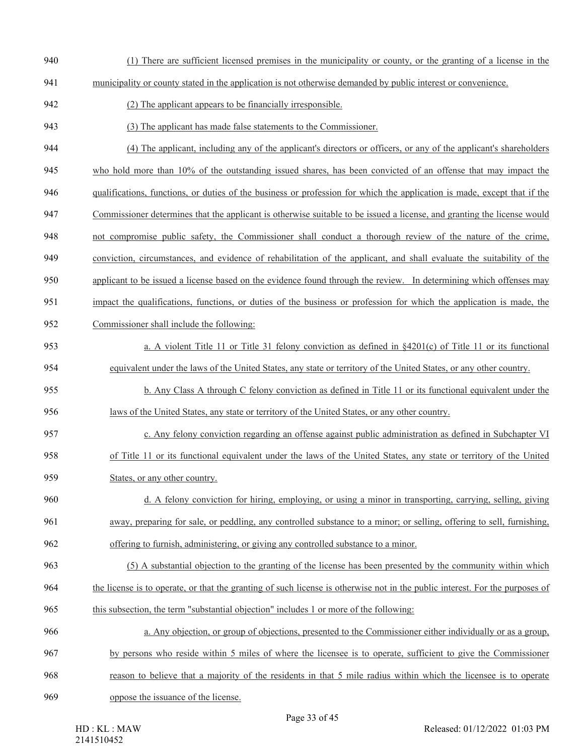- (1) There are sufficient licensed premises in the municipality or county, or the granting of a license in the
- municipality or county stated in the application is not otherwise demanded by public interest or convenience.
- 942 (2) The applicant appears to be financially irresponsible.
- (3) The applicant has made false statements to the Commissioner.
- (4) The applicant, including any of the applicant's directors or officers, or any of the applicant's shareholders
- who hold more than 10% of the outstanding issued shares, has been convicted of an offense that may impact the
- qualifications, functions, or duties of the business or profession for which the application is made, except that if the
- Commissioner determines that the applicant is otherwise suitable to be issued a license, and granting the license would
- not compromise public safety, the Commissioner shall conduct a thorough review of the nature of the crime,
- conviction, circumstances, and evidence of rehabilitation of the applicant, and shall evaluate the suitability of the
- applicant to be issued a license based on the evidence found through the review. In determining which offenses may
- impact the qualifications, functions, or duties of the business or profession for which the application is made, the
- Commissioner shall include the following:
- a. A violent Title 11 or Title 31 felony conviction as defined in §4201(c) of Title 11 or its functional equivalent under the laws of the United States, any state or territory of the United States, or any other country.
- b. Any Class A through C felony conviction as defined in Title 11 or its functional equivalent under the
- laws of the United States, any state or territory of the United States, or any other country.
- c. Any felony conviction regarding an offense against public administration as defined in Subchapter VI of Title 11 or its functional equivalent under the laws of the United States, any state or territory of the United States, or any other country.
- d. A felony conviction for hiring, employing, or using a minor in transporting, carrying, selling, giving away, preparing for sale, or peddling, any controlled substance to a minor; or selling, offering to sell, furnishing,
- offering to furnish, administering, or giving any controlled substance to a minor.
- (5) A substantial objection to the granting of the license has been presented by the community within which the license is to operate, or that the granting of such license is otherwise not in the public interest. For the purposes of
- this subsection, the term "substantial objection" includes 1 or more of the following:
- a. Any objection, or group of objections, presented to the Commissioner either individually or as a group, by persons who reside within 5 miles of where the licensee is to operate, sufficient to give the Commissioner
- reason to believe that a majority of the residents in that 5 mile radius within which the licensee is to operate
- oppose the issuance of the license.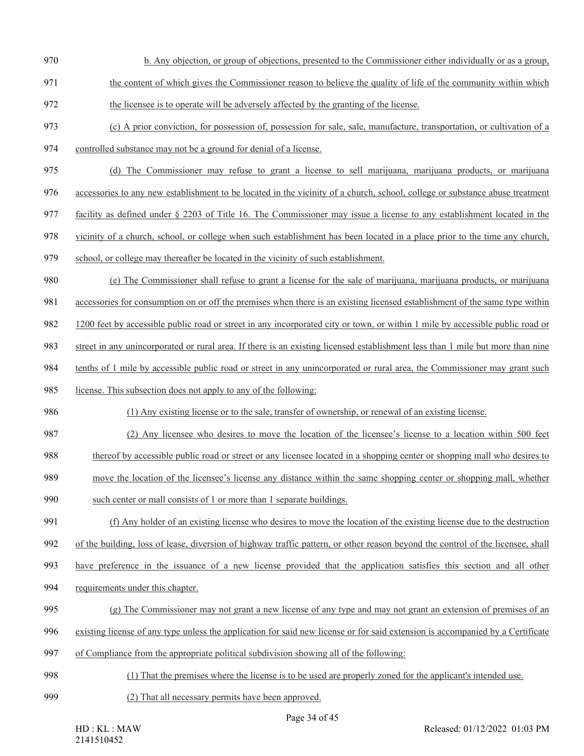- b. Any objection, or group of objections, presented to the Commissioner either individually or as a group,
- the content of which gives the Commissioner reason to believe the quality of life of the community within which
- the licensee is to operate will be adversely affected by the granting of the license.
- (c) A prior conviction, for possession of, possession for sale, sale, manufacture, transportation, or cultivation of a controlled substance may not be a ground for denial of a license.
- (d) The Commissioner may refuse to grant a license to sell marijuana, marijuana products, or marijuana
- accessories to any new establishment to be located in the vicinity of a church, school, college or substance abuse treatment
- facility as defined under § 2203 of Title 16. The Commissioner may issue a license to any establishment located in the
- vicinity of a church, school, or college when such establishment has been located in a place prior to the time any church,
- school, or college may thereafter be located in the vicinity of such establishment.
- (e) The Commissioner shall refuse to grant a license for the sale of marijuana, marijuana products, or marijuana
- accessories for consumption on or off the premises when there is an existing licensed establishment of the same type within
- 1200 feet by accessible public road or street in any incorporated city or town, or within 1 mile by accessible public road or
- street in any unincorporated or rural area. If there is an existing licensed establishment less than 1 mile but more than nine
- tenths of 1 mile by accessible public road or street in any unincorporated or rural area, the Commissioner may grant such
- license. This subsection does not apply to any of the following:
- (1) Any existing license or to the sale, transfer of ownership, or renewal of an existing license.
- (2) Any licensee who desires to move the location of the licensee's license to a location within 500 feet
- thereof by accessible public road or street or any licensee located in a shopping center or shopping mall who desires to
- move the location of the licensee's license any distance within the same shopping center or shopping mall, whether
- such center or mall consists of 1 or more than 1 separate buildings.
- (f) Any holder of an existing license who desires to move the location of the existing license due to the destruction
- of the building, loss of lease, diversion of highway traffic pattern, or other reason beyond the control of the licensee, shall
- have preference in the issuance of a new license provided that the application satisfies this section and all other
- requirements under this chapter.
- (g) The Commissioner may not grant a new license of any type and may not grant an extension of premises of an
- existing license of any type unless the application for said new license or for said extension is accompanied by a Certificate
- of Compliance from the appropriate political subdivision showing all of the following:
- (1) That the premises where the license is to be used are properly zoned for the applicant's intended use.
- (2) That all necessary permits have been approved.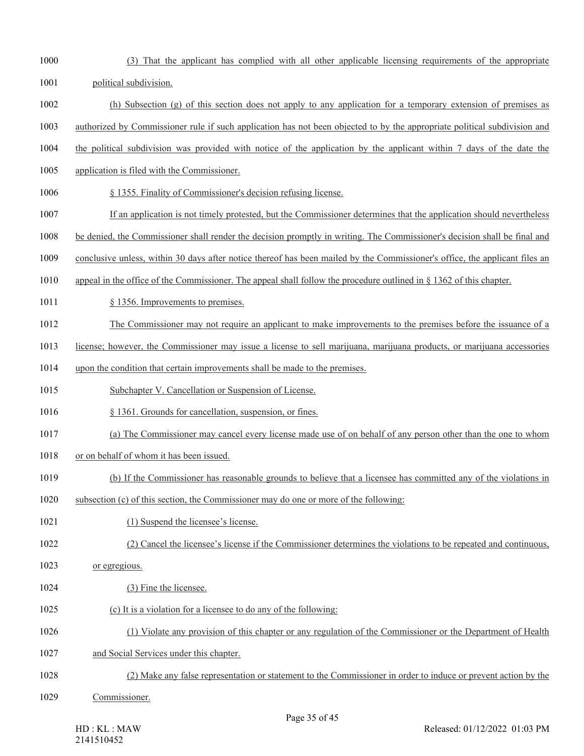Page 35 of 45 political subdivision. (h) Subsection (g) of this section does not apply to any application for a temporary extension of premises as authorized by Commissioner rule if such application has not been objected to by the appropriate political subdivision and the political subdivision was provided with notice of the application by the applicant within 7 days of the date the application is filed with the Commissioner. § 1355. Finality of Commissioner's decision refusing license. If an application is not timely protested, but the Commissioner determines that the application should nevertheless be denied, the Commissioner shall render the decision promptly in writing. The Commissioner's decision shall be final and conclusive unless, within 30 days after notice thereof has been mailed by the Commissioner's office, the applicant files an appeal in the office of the Commissioner. The appeal shall follow the procedure outlined in § 1362 of this chapter. 1011 § 1356. Improvements to premises. The Commissioner may not require an applicant to make improvements to the premises before the issuance of a license; however, the Commissioner may issue a license to sell marijuana, marijuana products, or marijuana accessories upon the condition that certain improvements shall be made to the premises. Subchapter V. Cancellation or Suspension of License. § 1361. Grounds for cancellation, suspension, or fines. (a) The Commissioner may cancel every license made use of on behalf of any person other than the one to whom or on behalf of whom it has been issued. (b) If the Commissioner has reasonable grounds to believe that a licensee has committed any of the violations in subsection (c) of this section, the Commissioner may do one or more of the following: 1021 (1) Suspend the licensee's license. (2) Cancel the licensee's license if the Commissioner determines the violations to be repeated and continuous, or egregious. 1024 (3) Fine the licensee. (c) It is a violation for a licensee to do any of the following: (1) Violate any provision of this chapter or any regulation of the Commissioner or the Department of Health and Social Services under this chapter. (2) Make any false representation or statement to the Commissioner in order to induce or prevent action by the Commissioner.

(3) That the applicant has complied with all other applicable licensing requirements of the appropriate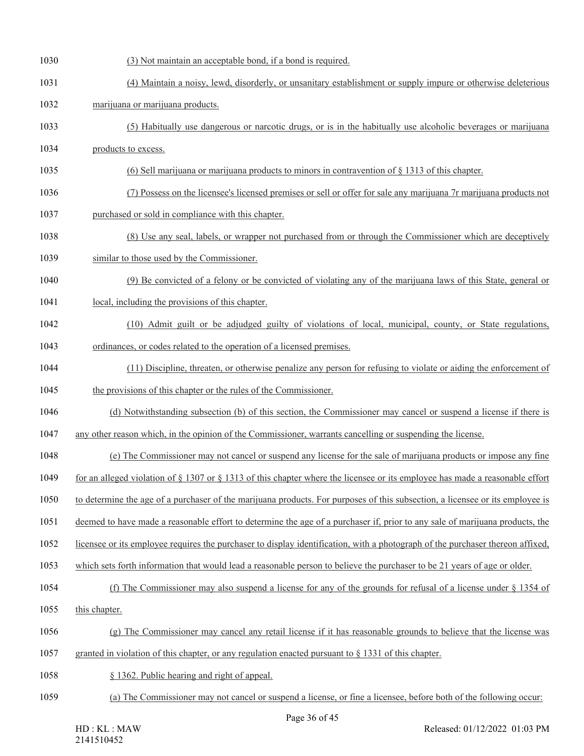| 1030 | (3) Not maintain an acceptable bond, if a bond is required.                                                                        |
|------|------------------------------------------------------------------------------------------------------------------------------------|
| 1031 | (4) Maintain a noisy, lewd, disorderly, or unsanitary establishment or supply impure or otherwise deleterious                      |
| 1032 | marijuana or marijuana products.                                                                                                   |
| 1033 | (5) Habitually use dangerous or narcotic drugs, or is in the habitually use alcoholic beverages or marijuana                       |
| 1034 | products to excess.                                                                                                                |
| 1035 | (6) Sell marijuana or marijuana products to minors in contravention of $\S$ 1313 of this chapter.                                  |
| 1036 | (7) Possess on the licensee's licensed premises or sell or offer for sale any marijuana 7r marijuana products not                  |
| 1037 | purchased or sold in compliance with this chapter.                                                                                 |
| 1038 | (8) Use any seal, labels, or wrapper not purchased from or through the Commissioner which are deceptively                          |
| 1039 | similar to those used by the Commissioner.                                                                                         |
| 1040 | (9) Be convicted of a felony or be convicted of violating any of the marijuana laws of this State, general or                      |
| 1041 | local, including the provisions of this chapter.                                                                                   |
| 1042 | (10) Admit guilt or be adjudged guilty of violations of local, municipal, county, or State regulations,                            |
| 1043 | ordinances, or codes related to the operation of a licensed premises.                                                              |
| 1044 | (11) Discipline, threaten, or otherwise penalize any person for refusing to violate or aiding the enforcement of                   |
| 1045 | the provisions of this chapter or the rules of the Commissioner.                                                                   |
| 1046 | (d) Notwithstanding subsection (b) of this section, the Commissioner may cancel or suspend a license if there is                   |
| 1047 | any other reason which, in the opinion of the Commissioner, warrants cancelling or suspending the license.                         |
| 1048 | (e) The Commissioner may not cancel or suspend any license for the sale of marijuana products or impose any fine                   |
| 1049 | for an alleged violation of $\S 1307$ or $\S 1313$ of this chapter where the licensee or its employee has made a reasonable effort |
| 1050 | to determine the age of a purchaser of the marijuana products. For purposes of this subsection, a licensee or its employee is      |
| 1051 | deemed to have made a reasonable effort to determine the age of a purchaser if, prior to any sale of marijuana products, the       |
| 1052 | licensee or its employee requires the purchaser to display identification, with a photograph of the purchaser thereon affixed,     |
| 1053 | which sets forth information that would lead a reasonable person to believe the purchaser to be 21 years of age or older.          |
| 1054 | (f) The Commissioner may also suspend a license for any of the grounds for refusal of a license under $\S$ 1354 of                 |
| 1055 | this chapter.                                                                                                                      |
| 1056 | (g) The Commissioner may cancel any retail license if it has reasonable grounds to believe that the license was                    |
| 1057 | granted in violation of this chapter, or any regulation enacted pursuant to $\S$ 1331 of this chapter.                             |
| 1058 | § 1362. Public hearing and right of appeal.                                                                                        |
| 1059 | (a) The Commissioner may not cancel or suspend a license, or fine a licensee, before both of the following occur:                  |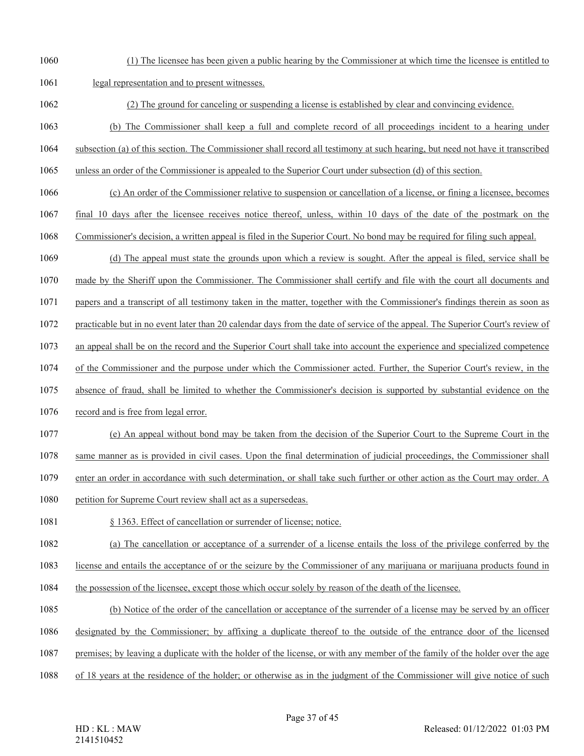(1) The licensee has been given a public hearing by the Commissioner at which time the licensee is entitled to

legal representation and to present witnesses.

- (2) The ground for canceling or suspending a license is established by clear and convincing evidence.
- (b) The Commissioner shall keep a full and complete record of all proceedings incident to a hearing under
- subsection (a) of this section. The Commissioner shall record all testimony at such hearing, but need not have it transcribed
- unless an order of the Commissioner is appealed to the Superior Court under subsection (d) of this section.
- (c) An order of the Commissioner relative to suspension or cancellation of a license, or fining a licensee, becomes
- final 10 days after the licensee receives notice thereof, unless, within 10 days of the date of the postmark on the
- Commissioner's decision, a written appeal is filed in the Superior Court. No bond may be required for filing such appeal.
- (d) The appeal must state the grounds upon which a review is sought. After the appeal is filed, service shall be
- made by the Sheriff upon the Commissioner. The Commissioner shall certify and file with the court all documents and
- papers and a transcript of all testimony taken in the matter, together with the Commissioner's findings therein as soon as
- practicable but in no event later than 20 calendar days from the date of service of the appeal. The Superior Court's review of
- an appeal shall be on the record and the Superior Court shall take into account the experience and specialized competence
- of the Commissioner and the purpose under which the Commissioner acted. Further, the Superior Court's review, in the
- absence of fraud, shall be limited to whether the Commissioner's decision is supported by substantial evidence on the
- record and is free from legal error.
- (e) An appeal without bond may be taken from the decision of the Superior Court to the Supreme Court in the
- same manner as is provided in civil cases. Upon the final determination of judicial proceedings, the Commissioner shall
- enter an order in accordance with such determination, or shall take such further or other action as the Court may order. A
- petition for Supreme Court review shall act as a supersedeas.
- 1081 § 1363. Effect of cancellation or surrender of license; notice.
- (a) The cancellation or acceptance of a surrender of a license entails the loss of the privilege conferred by the
- license and entails the acceptance of or the seizure by the Commissioner of any marijuana or marijuana products found in
- the possession of the licensee, except those which occur solely by reason of the death of the licensee.
- (b) Notice of the order of the cancellation or acceptance of the surrender of a license may be served by an officer
- designated by the Commissioner; by affixing a duplicate thereof to the outside of the entrance door of the licensed
- premises; by leaving a duplicate with the holder of the license, or with any member of the family of the holder over the age
- of 18 years at the residence of the holder; or otherwise as in the judgment of the Commissioner will give notice of such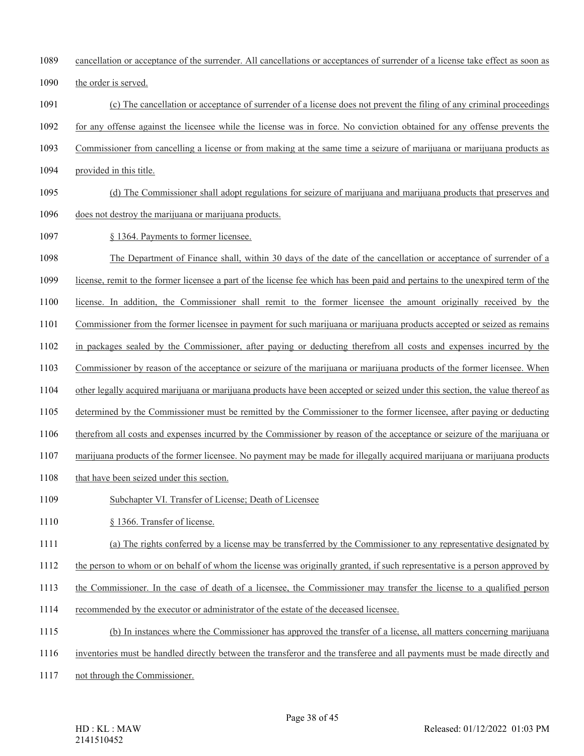cancellation or acceptance of the surrender. All cancellations or acceptances of surrender of a license take effect as soon as

the order is served.

- (c) The cancellation or acceptance of surrender of a license does not prevent the filing of any criminal proceedings
- for any offense against the licensee while the license was in force. No conviction obtained for any offense prevents the
- Commissioner from cancelling a license or from making at the same time a seizure of marijuana or marijuana products as
- provided in this title.
- (d) The Commissioner shall adopt regulations for seizure of marijuana and marijuana products that preserves and does not destroy the marijuana or marijuana products.
- § 1364. Payments to former licensee.
- The Department of Finance shall, within 30 days of the date of the cancellation or acceptance of surrender of a
- license, remit to the former licensee a part of the license fee which has been paid and pertains to the unexpired term of the
- license. In addition, the Commissioner shall remit to the former licensee the amount originally received by the
- Commissioner from the former licensee in payment for such marijuana or marijuana products accepted or seized as remains
- in packages sealed by the Commissioner, after paying or deducting therefrom all costs and expenses incurred by the
- Commissioner by reason of the acceptance or seizure of the marijuana or marijuana products of the former licensee. When
- other legally acquired marijuana or marijuana products have been accepted or seized under this section, the value thereof as
- determined by the Commissioner must be remitted by the Commissioner to the former licensee, after paying or deducting
- therefrom all costs and expenses incurred by the Commissioner by reason of the acceptance or seizure of the marijuana or
- marijuana products of the former licensee. No payment may be made for illegally acquired marijuana or marijuana products
- 1108 that have been seized under this section.
- Subchapter VI. Transfer of License; Death of Licensee
- 1110 § 1366. Transfer of license.
- (a) The rights conferred by a license may be transferred by the Commissioner to any representative designated by
- the person to whom or on behalf of whom the license was originally granted, if such representative is a person approved by
- the Commissioner. In the case of death of a licensee, the Commissioner may transfer the license to a qualified person
- recommended by the executor or administrator of the estate of the deceased licensee.
- (b) In instances where the Commissioner has approved the transfer of a license, all matters concerning marijuana
- inventories must be handled directly between the transferor and the transferee and all payments must be made directly and
- not through the Commissioner.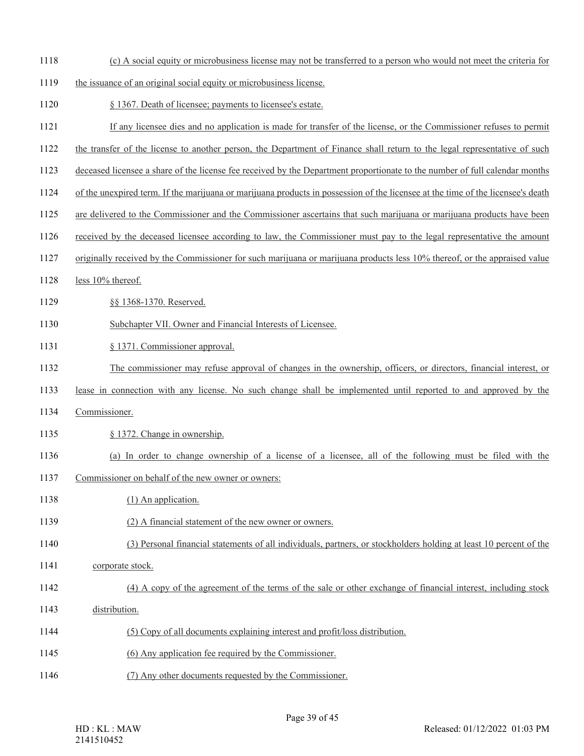- (c) A social equity or microbusiness license may not be transferred to a person who would not meet the criteria for
- the issuance of an original social equity or microbusiness license.
- § 1367. Death of licensee; payments to licensee's estate.
- If any licensee dies and no application is made for transfer of the license, or the Commissioner refuses to permit
- the transfer of the license to another person, the Department of Finance shall return to the legal representative of such
- deceased licensee a share of the license fee received by the Department proportionate to the number of full calendar months
- of the unexpired term. If the marijuana or marijuana products in possession of the licensee at the time of the licensee's death
- are delivered to the Commissioner and the Commissioner ascertains that such marijuana or marijuana products have been
- received by the deceased licensee according to law, the Commissioner must pay to the legal representative the amount
- originally received by the Commissioner for such marijuana or marijuana products less 10% thereof, or the appraised value
- 1128 less 10% thereof.
- §§ 1368-1370. Reserved.
- Subchapter VII. Owner and Financial Interests of Licensee.
- § 1371. Commissioner approval.
- The commissioner may refuse approval of changes in the ownership, officers, or directors, financial interest, or
- lease in connection with any license. No such change shall be implemented until reported to and approved by the
- Commissioner.
- § 1372. Change in ownership.
- (a) In order to change ownership of a license of a licensee, all of the following must be filed with the
- Commissioner on behalf of the new owner or owners:
- 1138 (1) An application.
- (2) A financial statement of the new owner or owners.
- (3) Personal financial statements of all individuals, partners, or stockholders holding at least 10 percent of the
- 1141 corporate stock.
- (4) A copy of the agreement of the terms of the sale or other exchange of financial interest, including stock
- distribution.
- (5) Copy of all documents explaining interest and profit/loss distribution.
- (6) Any application fee required by the Commissioner.
- (7) Any other documents requested by the Commissioner.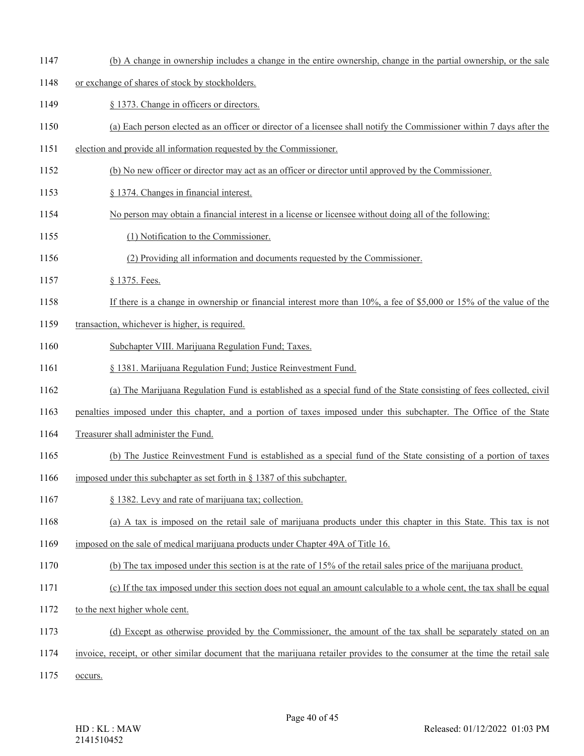(b) A change in ownership includes a change in the entire ownership, change in the partial ownership, or the sale

## or exchange of shares of stock by stockholders.

- 1149 § 1373. Change in officers or directors.
- (a) Each person elected as an officer or director of a licensee shall notify the Commissioner within 7 days after the
- election and provide all information requested by the Commissioner.
- (b) No new officer or director may act as an officer or director until approved by the Commissioner.
- § 1374. Changes in financial interest.
- No person may obtain a financial interest in a license or licensee without doing all of the following:
- (1) Notification to the Commissioner.
- (2) Providing all information and documents requested by the Commissioner.
- 1157 § 1375. Fees.
- If there is a change in ownership or financial interest more than 10%, a fee of \$5,000 or 15% of the value of the
- 1159 transaction, whichever is higher, is required.
- Subchapter VIII. Marijuana Regulation Fund; Taxes.
- § 1381. Marijuana Regulation Fund; Justice Reinvestment Fund.
- (a) The Marijuana Regulation Fund is established as a special fund of the State consisting of fees collected, civil
- penalties imposed under this chapter, and a portion of taxes imposed under this subchapter. The Office of the State
- Treasurer shall administer the Fund.
- (b) The Justice Reinvestment Fund is established as a special fund of the State consisting of a portion of taxes
- imposed under this subchapter as set forth in § 1387 of this subchapter.
- § 1382. Levy and rate of marijuana tax; collection.
- (a) A tax is imposed on the retail sale of marijuana products under this chapter in this State. This tax is not
- imposed on the sale of medical marijuana products under Chapter 49A of Title 16.
- (b) The tax imposed under this section is at the rate of 15% of the retail sales price of the marijuana product.
- (c) If the tax imposed under this section does not equal an amount calculable to a whole cent, the tax shall be equal
- to the next higher whole cent.
- (d) Except as otherwise provided by the Commissioner, the amount of the tax shall be separately stated on an
- invoice, receipt, or other similar document that the marijuana retailer provides to the consumer at the time the retail sale
- occurs.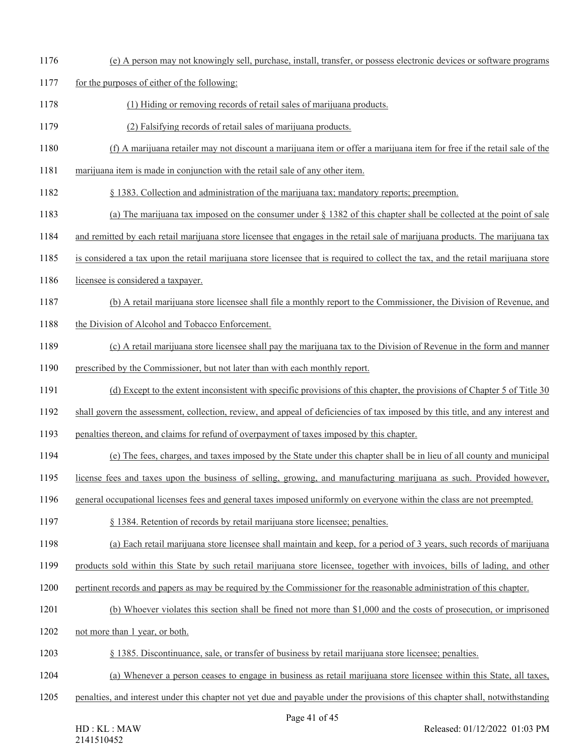- (e) A person may not knowingly sell, purchase, install, transfer, or possess electronic devices or software programs
- for the purposes of either of the following:
- (1) Hiding or removing records of retail sales of marijuana products.
- (2) Falsifying records of retail sales of marijuana products.
- (f) A marijuana retailer may not discount a marijuana item or offer a marijuana item for free if the retail sale of the
- marijuana item is made in conjunction with the retail sale of any other item.
- § 1383. Collection and administration of the marijuana tax; mandatory reports; preemption.
- (a) The marijuana tax imposed on the consumer under § 1382 of this chapter shall be collected at the point of sale
- and remitted by each retail marijuana store licensee that engages in the retail sale of marijuana products. The marijuana tax
- is considered a tax upon the retail marijuana store licensee that is required to collect the tax, and the retail marijuana store
- licensee is considered a taxpayer.
- (b) A retail marijuana store licensee shall file a monthly report to the Commissioner, the Division of Revenue, and
- 1188 the Division of Alcohol and Tobacco Enforcement.
- (c) A retail marijuana store licensee shall pay the marijuana tax to the Division of Revenue in the form and manner
- prescribed by the Commissioner, but not later than with each monthly report.
- (d) Except to the extent inconsistent with specific provisions of this chapter, the provisions of Chapter 5 of Title 30
- shall govern the assessment, collection, review, and appeal of deficiencies of tax imposed by this title, and any interest and
- penalties thereon, and claims for refund of overpayment of taxes imposed by this chapter.
- (e) The fees, charges, and taxes imposed by the State under this chapter shall be in lieu of all county and municipal
- license fees and taxes upon the business of selling, growing, and manufacturing marijuana as such. Provided however,
- general occupational licenses fees and general taxes imposed uniformly on everyone within the class are not preempted.
- § 1384. Retention of records by retail marijuana store licensee; penalties.
- (a) Each retail marijuana store licensee shall maintain and keep, for a period of 3 years, such records of marijuana
- products sold within this State by such retail marijuana store licensee, together with invoices, bills of lading, and other
- pertinent records and papers as may be required by the Commissioner for the reasonable administration of this chapter.
- (b) Whoever violates this section shall be fined not more than \$1,000 and the costs of prosecution, or imprisoned
- not more than 1 year, or both.
- § 1385. Discontinuance, sale, or transfer of business by retail marijuana store licensee; penalties.
- (a) Whenever a person ceases to engage in business as retail marijuana store licensee within this State, all taxes,
- penalties, and interest under this chapter not yet due and payable under the provisions of this chapter shall, notwithstanding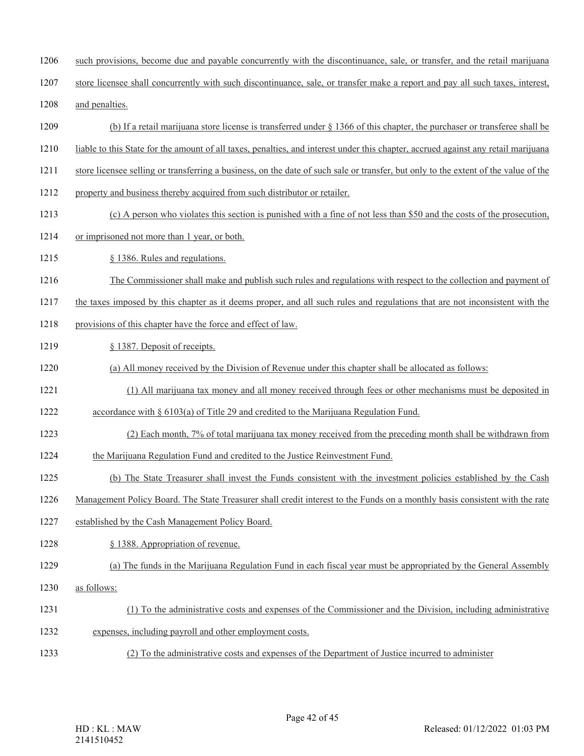- such provisions, become due and payable concurrently with the discontinuance, sale, or transfer, and the retail marijuana
- store licensee shall concurrently with such discontinuance, sale, or transfer make a report and pay all such taxes, interest,
- and penalties.
- (b) If a retail marijuana store license is transferred under § 1366 of this chapter, the purchaser or transferee shall be
- liable to this State for the amount of all taxes, penalties, and interest under this chapter, accrued against any retail marijuana
- store licensee selling or transferring a business, on the date of such sale or transfer, but only to the extent of the value of the
- property and business thereby acquired from such distributor or retailer.
- (c) A person who violates this section is punished with a fine of not less than \$50 and the costs of the prosecution,
- or imprisoned not more than 1 year, or both.
- § 1386. Rules and regulations.
- The Commissioner shall make and publish such rules and regulations with respect to the collection and payment of
- the taxes imposed by this chapter as it deems proper, and all such rules and regulations that are not inconsistent with the
- 1218 provisions of this chapter have the force and effect of law.
- 1219 § 1387. Deposit of receipts.
- (a) All money received by the Division of Revenue under this chapter shall be allocated as follows:
- (1) All marijuana tax money and all money received through fees or other mechanisms must be deposited in
- accordance with § 6103(a) of Title 29 and credited to the Marijuana Regulation Fund.
- (2) Each month, 7% of total marijuana tax money received from the preceding month shall be withdrawn from
- the Marijuana Regulation Fund and credited to the Justice Reinvestment Fund.
- (b) The State Treasurer shall invest the Funds consistent with the investment policies established by the Cash
- Management Policy Board. The State Treasurer shall credit interest to the Funds on a monthly basis consistent with the rate
- established by the Cash Management Policy Board.
- § 1388. Appropriation of revenue.
- (a) The funds in the Marijuana Regulation Fund in each fiscal year must be appropriated by the General Assembly
- as follows:
- (1) To the administrative costs and expenses of the Commissioner and the Division, including administrative
- expenses, including payroll and other employment costs.
- (2) To the administrative costs and expenses of the Department of Justice incurred to administer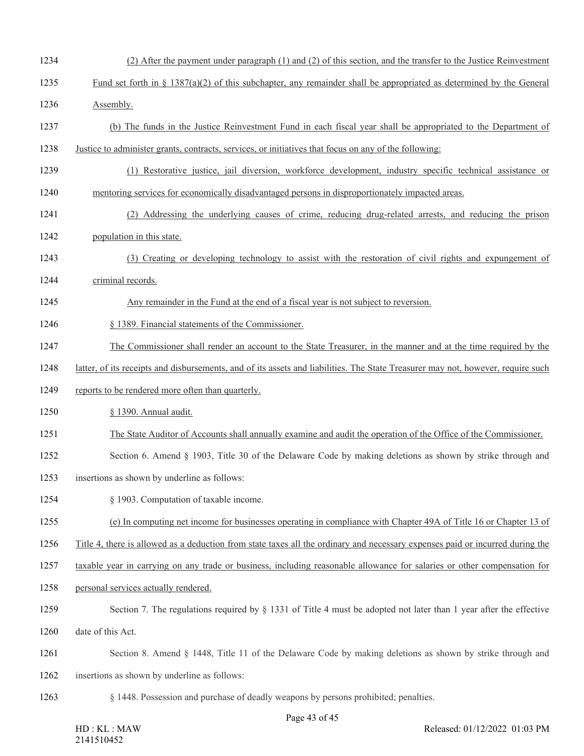- (2) After the payment under paragraph (1) and (2) of this section, and the transfer to the Justice Reinvestment
- Fund set forth in § 1387(a)(2) of this subchapter, any remainder shall be appropriated as determined by the General
- Assembly.
- (b) The funds in the Justice Reinvestment Fund in each fiscal year shall be appropriated to the Department of
- Justice to administer grants, contracts, services, or initiatives that focus on any of the following:
- (1) Restorative justice, jail diversion, workforce development, industry specific technical assistance or
- mentoring services for economically disadvantaged persons in disproportionately impacted areas.
- (2) Addressing the underlying causes of crime, reducing drug-related arrests, and reducing the prison population in this state.
- (3) Creating or developing technology to assist with the restoration of civil rights and expungement of
- criminal records.

Any remainder in the Fund at the end of a fiscal year is not subject to reversion.

- § 1389. Financial statements of the Commissioner.
- The Commissioner shall render an account to the State Treasurer, in the manner and at the time required by the

latter, of its receipts and disbursements, and of its assets and liabilities. The State Treasurer may not, however, require such

- reports to be rendered more often than quarterly.
- § 1390. Annual audit.
- The State Auditor of Accounts shall annually examine and audit the operation of the Office of the Commissioner.
- Section 6. Amend § 1903, Title 30 of the Delaware Code by making deletions as shown by strike through and
- insertions as shown by underline as follows:
- § 1903. Computation of taxable income.
- (e) In computing net income for businesses operating in compliance with Chapter 49A of Title 16 or Chapter 13 of
- Title 4, there is allowed as a deduction from state taxes all the ordinary and necessary expenses paid or incurred during the
- taxable year in carrying on any trade or business, including reasonable allowance for salaries or other compensation for
- personal services actually rendered.
- 1259 Section 7. The regulations required by § 1331 of Title 4 must be adopted not later than 1 year after the effective
- date of this Act.
- Section 8. Amend § 1448, Title 11 of the Delaware Code by making deletions as shown by strike through and
- insertions as shown by underline as follows:
- § 1448. Possession and purchase of deadly weapons by persons prohibited; penalties.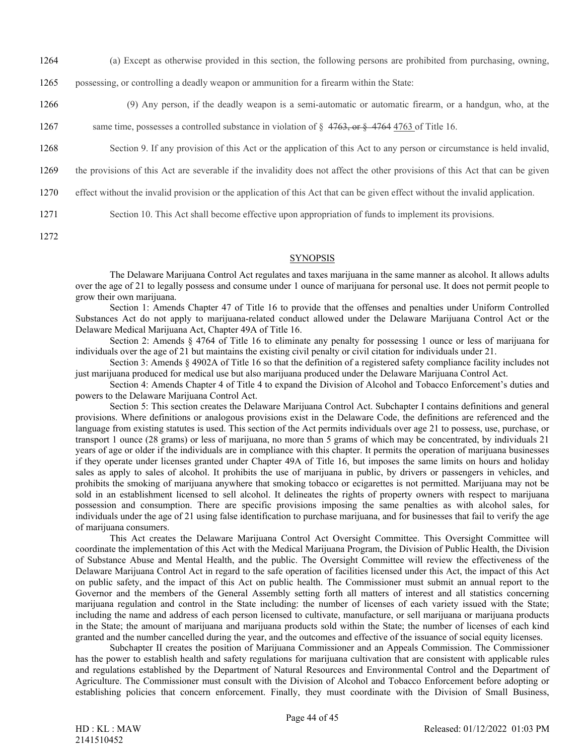- 1264 (a) Except as otherwise provided in this section, the following persons are prohibited from purchasing, owning,
- 1265 possessing, or controlling a deadly weapon or ammunition for a firearm within the State:
- 1266 (9) Any person, if the deadly weapon is a semi-automatic or automatic firearm, or a handgun, who, at the
- 1267 same time, possesses a controlled substance in violation of  $\S$  4763, or  $\S$  4764 4763 of Title 16.
- 1268 Section 9. If any provision of this Act or the application of this Act to any person or circumstance is held invalid,

1269 the provisions of this Act are severable if the invalidity does not affect the other provisions of this Act that can be given

- 1270 effect without the invalid provision or the application of this Act that can be given effect without the invalid application.
- 1271 Section 10. This Act shall become effective upon appropriation of funds to implement its provisions.
- 1272

#### **SYNOPSIS**

The Delaware Marijuana Control Act regulates and taxes marijuana in the same manner as alcohol. It allows adults over the age of 21 to legally possess and consume under 1 ounce of marijuana for personal use. It does not permit people to grow their own marijuana.

Section 1: Amends Chapter 47 of Title 16 to provide that the offenses and penalties under Uniform Controlled Substances Act do not apply to marijuana-related conduct allowed under the Delaware Marijuana Control Act or the Delaware Medical Marijuana Act, Chapter 49A of Title 16.

Section 2: Amends § 4764 of Title 16 to eliminate any penalty for possessing 1 ounce or less of marijuana for individuals over the age of 21 but maintains the existing civil penalty or civil citation for individuals under 21.

Section 3: Amends § 4902A of Title 16 so that the definition of a registered safety compliance facility includes not just marijuana produced for medical use but also marijuana produced under the Delaware Marijuana Control Act.

Section 4: Amends Chapter 4 of Title 4 to expand the Division of Alcohol and Tobacco Enforcement's duties and powers to the Delaware Marijuana Control Act.

Section 5: This section creates the Delaware Marijuana Control Act. Subchapter I contains definitions and general provisions. Where definitions or analogous provisions exist in the Delaware Code, the definitions are referenced and the language from existing statutes is used. This section of the Act permits individuals over age 21 to possess, use, purchase, or transport 1 ounce (28 grams) or less of marijuana, no more than 5 grams of which may be concentrated, by individuals 21 years of age or older if the individuals are in compliance with this chapter. It permits the operation of marijuana businesses if they operate under licenses granted under Chapter 49A of Title 16, but imposes the same limits on hours and holiday sales as apply to sales of alcohol. It prohibits the use of marijuana in public, by drivers or passengers in vehicles, and prohibits the smoking of marijuana anywhere that smoking tobacco or ecigarettes is not permitted. Marijuana may not be sold in an establishment licensed to sell alcohol. It delineates the rights of property owners with respect to marijuana possession and consumption. There are specific provisions imposing the same penalties as with alcohol sales, for individuals under the age of 21 using false identification to purchase marijuana, and for businesses that fail to verify the age of marijuana consumers.

This Act creates the Delaware Marijuana Control Act Oversight Committee. This Oversight Committee will coordinate the implementation of this Act with the Medical Marijuana Program, the Division of Public Health, the Division of Substance Abuse and Mental Health, and the public. The Oversight Committee will review the effectiveness of the Delaware Marijuana Control Act in regard to the safe operation of facilities licensed under this Act, the impact of this Act on public safety, and the impact of this Act on public health. The Commissioner must submit an annual report to the Governor and the members of the General Assembly setting forth all matters of interest and all statistics concerning marijuana regulation and control in the State including: the number of licenses of each variety issued with the State; including the name and address of each person licensed to cultivate, manufacture, or sell marijuana or marijuana products in the State; the amount of marijuana and marijuana products sold within the State; the number of licenses of each kind granted and the number cancelled during the year, and the outcomes and effective of the issuance of social equity licenses.

Subchapter II creates the position of Marijuana Commissioner and an Appeals Commission. The Commissioner has the power to establish health and safety regulations for marijuana cultivation that are consistent with applicable rules and regulations established by the Department of Natural Resources and Environmental Control and the Department of Agriculture. The Commissioner must consult with the Division of Alcohol and Tobacco Enforcement before adopting or establishing policies that concern enforcement. Finally, they must coordinate with the Division of Small Business,